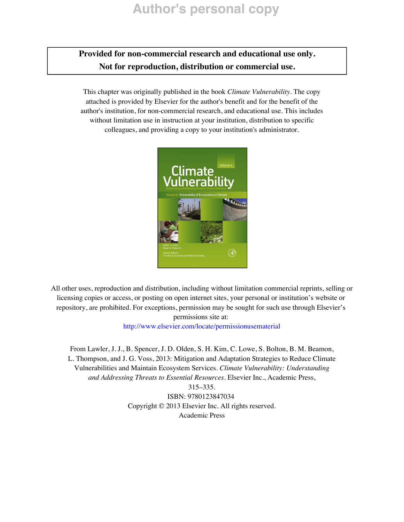# **Provided for non-commercial research and educational use only. Not for reproduction, distribution or commercial use.**

This chapter was originally published in the book *Climate Vulnerability*. The copy attached is provided by Elsevier for the author's benefit and for the benefit of the author's institution, for non-commercial research, and educational use. This includes without limitation use in instruction at your institution, distribution to specific colleagues, and providing a copy to your institution's administrator.



All other uses, reproduction and distribution, including without limitation commercial reprints, selling or licensing copies or access, or posting on open internet sites, your personal or institution's website or repository, are prohibited. For exceptions, permission may be sought for such use through Elsevier's permissions site at:

<http://www.elsevier.com/locate/permissionusematerial>

From Lawler, J. J., B. Spencer, J. D. Olden, S. H. Kim, C. Lowe, S. Bolton, B. M. Beamon, L. Thompson, and J. G. Voss, 2013: Mitigation and Adaptation Strategies to Reduce Climate Vulnerabilities and Maintain Ecosystem Services. *Climate Vulnerability: Understanding and Addressing Threats to Essential Resources*. Elsevier Inc., Academic Press,

315–335. ISBN: 9780123847034 Copyright © 2013 Elsevier Inc. All rights reserved. Academic Press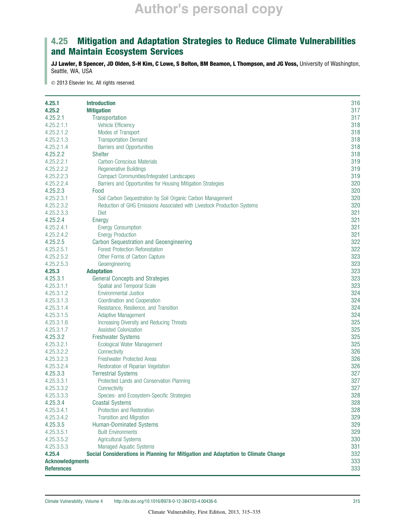JJ Lawler, B Spencer, JD Olden, S-H Kim, C Lowe, S Bolton, BM Beamon, L Thompson, and JG Voss, University of Washington, Seattle, WA, USA

 $\odot$  2013 Elsevier Inc. All rights reserved.

| 4.25.1                        | <b>Introduction</b>                                                               | 316 |  |
|-------------------------------|-----------------------------------------------------------------------------------|-----|--|
| 4.25.2                        | <b>Mitigation</b>                                                                 | 317 |  |
| 4.25.2.1                      | Transportation                                                                    | 317 |  |
| 4.25.2.1.1                    | <b>Vehicle Efficiency</b>                                                         | 318 |  |
| 4.25.2.1.2                    | Modes of Transport                                                                | 318 |  |
| 4.25.2.1.3                    | <b>Transportation Demand</b>                                                      | 318 |  |
| 4.25.2.1.4                    | <b>Barriers and Opportunities</b>                                                 | 318 |  |
| 4.25.2.2                      | <b>Shelter</b>                                                                    | 318 |  |
| 4.25.2.2.1                    | <b>Carbon-Conscious Materials</b>                                                 | 319 |  |
| 4.25.2.2.2                    | <b>Regenerative Buildings</b>                                                     | 319 |  |
| 4.25.2.2.3                    | <b>Compact Communities/Integrated Landscapes</b>                                  | 319 |  |
| 4.25.2.2.4                    | Barriers and Opportunities for Housing Mitigation Strategies                      | 320 |  |
| 4.25.2.3                      | Food                                                                              | 320 |  |
| 4.25.2.3.1                    | Soil Carbon Sequestration by Soil Organic Carbon Management                       | 320 |  |
| 4.25.2.3.2                    | Reduction of GHG Emissions Associated with Livestock Production Systems           | 320 |  |
| 4.25.2.3.3                    | <b>Diet</b>                                                                       | 321 |  |
| 4.25.2.4                      | Energy                                                                            | 321 |  |
| 4.25.2.4.1                    | <b>Energy Consumption</b>                                                         | 321 |  |
| 4.25.2.4.2                    | <b>Energy Production</b>                                                          | 321 |  |
| 4.25.2.5                      | <b>Carbon Sequestration and Geoengineering</b>                                    | 322 |  |
| 4.25.2.5.1                    | <b>Forest Protection Reforestation</b>                                            | 322 |  |
| 4.25.2.5.2                    | Other Forms of Carbon Capture                                                     | 323 |  |
| 4.25.2.5.3                    | Geoengineering                                                                    | 323 |  |
| 4.25.3                        | <b>Adaptation</b>                                                                 | 323 |  |
| 4.25.3.1                      | <b>General Concepts and Strategies</b>                                            | 323 |  |
| 4.25.3.1.1                    | Spatial and Temporal Scale                                                        | 323 |  |
| 4.25.3.1.2                    | <b>Environmental Justice</b>                                                      | 324 |  |
| 4.25.3.1.3                    | Coordination and Cooperation                                                      | 324 |  |
| 4.25.3.1.4                    | Resistance, Resilience, and Transition                                            | 324 |  |
| 4.25.3.1.5                    | Adaptive Management                                                               | 324 |  |
| 4.25.3.1.6                    | Increasing Diversity and Reducing Threats                                         | 325 |  |
| 4.25.3.1.7                    | <b>Assisted Colonization</b>                                                      | 325 |  |
| 4.25.3.2                      | <b>Freshwater Systems</b>                                                         | 325 |  |
| 4.25.3.2.1                    | Ecological Water Management                                                       | 325 |  |
| 4.25.3.2.2                    | Connectivity                                                                      | 326 |  |
| 4.25.3.2.3                    | <b>Freshwater Protected Areas</b>                                                 | 326 |  |
| 4.25.3.2.4                    | Restoration of Riparian Vegetation                                                | 326 |  |
| 4.25.3.3                      | <b>Terrestrial Systems</b>                                                        | 327 |  |
| 4.25.3.3.1                    | Protected Lands and Conservation Planning                                         | 327 |  |
| 4.25.3.3.2                    | Connectivity                                                                      | 327 |  |
| 4.25.3.3.3                    | Species- and Ecosystem-Specific Strategies                                        | 328 |  |
| 4.25.3.4                      | <b>Coastal Systems</b>                                                            | 328 |  |
| 4.25.3.4.1                    | Protection and Restoration                                                        | 328 |  |
| 4.25.3.4.2                    | <b>Transition and Migration</b>                                                   | 329 |  |
| 4.25.3.5                      | <b>Human-Dominated Systems</b>                                                    | 329 |  |
| 4.25.3.5.1                    | <b>Built Environments</b>                                                         | 329 |  |
| 4.25.3.5.2                    | <b>Agricultural Systems</b>                                                       | 330 |  |
| 4.25.3.5.3                    | <b>Managed Aquatic Systems</b>                                                    | 331 |  |
| 4.25.4                        | Social Considerations in Planning for Mitigation and Adaptation to Climate Change | 332 |  |
| <b>Acknowledgments</b><br>333 |                                                                                   |     |  |
| <b>References</b>             |                                                                                   | 333 |  |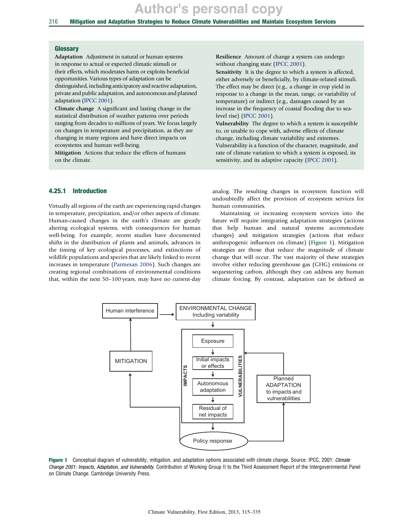# **Author's personal copy**

## 316 Mitigation and Adaptation Strategies to Reduce Climate Vulnerabilities and Maintain Ecosystem Services

#### **Glossary**

Adaptation Adjustment in natural or human systems in response to actual or expected climatic stimuli or their effects, which moderates harm or exploits beneficial opportunities. Various types of adaptation can be distinguished, including anticipatory and reactive adaptation, private and public adaptation, and autonomous and planned adaptation (IPCC 2001).

Climate change A significant and lasting change in the statistical distribution of weather patterns over periods ranging from decades to millions of years. We focus largely on changes in temperature and precipitation, as they are changing in many regions and have direct impacts on ecosystems and human well-being.

Mitigation Actions that reduce the effects of humans on the climate.

Resilience Amount of change a system can undergo without changing state (IPCC 2001).

Sensitivity It is the degree to which a system is affected, either adversely or beneficially, by climate-related stimuli. The effect may be direct (e.g., a change in crop yield in response to a change in the mean, range, or variability of temperature) or indirect (e.g., damages caused by an increase in the frequency of coastal flooding due to sealevel rise) (IPCC 2001).

Vulnerability The degree to which a system is susceptible to, or unable to cope with, adverse effects of climate change, including climate variability and extremes. Vulnerability is a function of the character, magnitude, and rate of climate variation to which a system is exposed, its sensitivity, and its adaptive capacity (IPCC 2001).

## 4.25.1 Introduction

Virtually all regions of the earth are experiencing rapid changes in temperature, precipitation, and/or other aspects of climate. Human-caused changes in the earth's climate are greatly altering ecological systems, with consequences for human well-being. For example, recent studies have documented shifts in the distribution of plants and animals, advances in the timing of key ecological processes, and extinctions of wildlife populations and species that are likely linked to recent increases in temperature (Parmesan 2006). Such changes are creating regional combinations of environmental conditions that, within the next 50–100 years, may have no current-day

analog. The resulting changes in ecosystem function will undoubtedly affect the provision of ecosystem services for human communities.

Maintaining or increasing ecosystem services into the future will require integrating adaptation strategies (actions that help human and natural systems accommodate changes) and mitigation strategies (actions that reduce anthropogenic influences on climate) (Figure 1). Mitigation strategies are those that reduce the magnitude of climate change that will occur. The vast majority of these strategies involve either reducing greenhouse gas (GHG) emissions or sequestering carbon, although they can address any human climate forcing. By contrast, adaptation can be defined as



Figure 1 Conceptual diagram of vulnerability, mitigation, and adaptation options associated with climate change. Source: IPCC, 2001: Climate Change 2001: Impacts, Adaptation, and Vulnerability. Contribution of Working Group II to the Third Assessment Report of the Intergovernmental Panel on Climate Change. Cambridge University Press.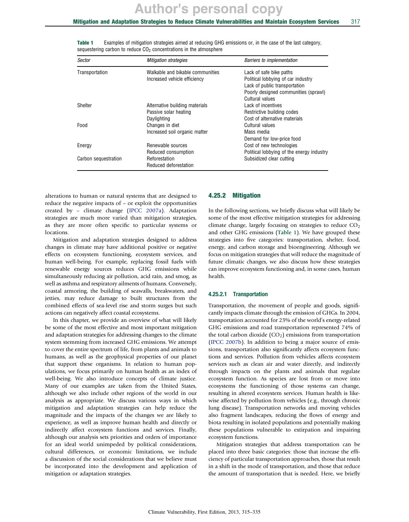| Sector               | <b>Mitigation strategies</b>     | <b>Barriers to implementation</b>         |
|----------------------|----------------------------------|-------------------------------------------|
| Transportation       | Walkable and bikable communities | Lack of safe bike paths                   |
|                      | Increased vehicle efficiency     | Political lobbying of car industry        |
|                      |                                  | Lack of public transportation             |
|                      |                                  | Poorly designed communities (sprawl)      |
|                      |                                  | Cultural values                           |
| Shelter              | Alternative building materials   | Lack of incentives                        |
|                      | Passive solar heating            | Restrictive building codes                |
|                      | Daylighting                      | Cost of alternative materials             |
| Food                 | Changes in diet                  | Cultural values                           |
|                      | Increased soil organic matter    | Mass media                                |
|                      |                                  | Demand for low-price food                 |
| Energy               | Renewable sources                | Cost of new technologies                  |
|                      | Reduced consumption              | Political lobbying of the energy industry |
| Carbon sequestration | Reforestation                    | Subsidized clear cutting                  |
|                      | Reduced deforestation            |                                           |

Table 1 Examples of mitigation strategies aimed at reducing GHG emissions or, in the case of the last category, sequestering carbon to reduce  $CO<sub>2</sub>$  concentrations in the atmosphere

alterations to human or natural systems that are designed to reduce the negative impacts of – or exploit the opportunities created by – climate change (IPCC 2007a). Adaptation strategies are much more varied than mitigation strategies, as they are more often specific to particular systems or locations.

Mitigation and adaptation strategies designed to address changes in climate may have additional positive or negative effects on ecosystem functioning, ecosystem services, and human well-being. For example, replacing fossil fuels with renewable energy sources reduces GHG emissions while simultaneously reducing air pollution, acid rain, and smog, as well as asthma and respiratory ailments of humans. Conversely, coastal armoring, the building of seawalls, breakwaters, and jetties, may reduce damage to built structures from the combined effects of sea-level rise and storm surges but such actions can negatively affect coastal ecosystems.

In this chapter, we provide an overview of what will likely be some of the most effective and most important mitigation and adaptation strategies for addressing changes to the climate system stemming from increased GHG emissions. We attempt to cover the entire spectrum of life, from plants and animals to humans, as well as the geophysical properties of our planet that support these organisms. In relation to human populations, we focus primarily on human health as an index of well-being. We also introduce concepts of climate justice. Many of our examples are taken from the United States, although we also include other regions of the world in our analysis as appropriate. We discuss various ways in which mitigation and adaptation strategies can help reduce the magnitude and the impacts of the changes we are likely to experience, as well as improve human health and directly or indirectly affect ecosystem functions and services. Finally, although our analysis sets priorities and orders of importance for an ideal world unimpeded by political considerations, cultural differences, or economic limitations, we include a discussion of the social considerations that we believe must be incorporated into the development and application of mitigation or adaptation strategies.

## 4.25.2 Mitigation

In the following sections, we briefly discuss what will likely be some of the most effective mitigation strategies for addressing climate change, largely focusing on strategies to reduce  $CO<sub>2</sub>$ and other GHG emissions (Table 1). We have grouped these strategies into five categories: transportation, shelter, food, energy, and carbon storage and bioengineering. Although we focus on mitigation strategies that will reduce the magnitude of future climatic changes, we also discuss how these strategies can improve ecosystem functioning and, in some cases, human health.

## 4.25.2.1 Transportation

Transportation, the movement of people and goods, significantly impacts climate through the emission of GHGs. In 2004, transportation accounted for 23% of the world's energy-related GHG emissions and road transportation represented 74% of the total carbon dioxide  $(CO<sub>2</sub>)$  emissions from transportation (IPCC 2007b). In addition to being a major source of emissions, transportation also significantly affects ecosystem functions and services. Pollution from vehicles affects ecosystem services such as clean air and water directly, and indirectly through impacts on the plants and animals that regulate ecosystem function. As species are lost from or move into ecosystems the functioning of those systems can change, resulting in altered ecosystem services. Human health is likewise affected by pollution from vehicles (e.g., through chronic lung disease). Transportation networks and moving vehicles also fragment landscapes, reducing the flows of energy and biota resulting in isolated populations and potentially making these populations vulnerable to extirpation and impairing ecosystem functions.

Mitigation strategies that address transportation can be placed into three basic categories: those that increase the efficiency of particular transportation approaches, those that result in a shift in the mode of transportation, and those that reduce the amount of transportation that is needed. Here, we briefly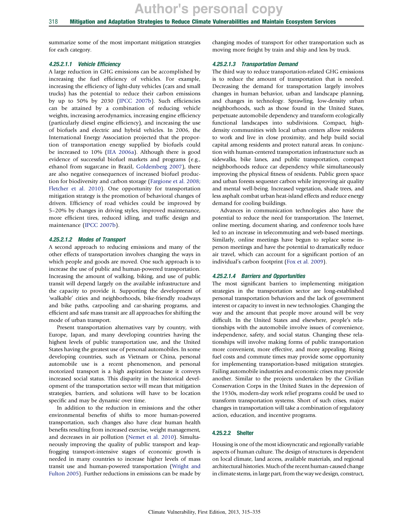summarize some of the most important mitigation strategies for each category.

4.25.2.1.1 Vehicle Efficiency

A large reduction in GHG emissions can be accomplished by increasing the fuel efficiency of vehicles. For example, increasing the efficiency of light-duty vehicles (cars and small trucks) has the potential to reduce their carbon emissions by up to 50% by 2030 (IPCC 2007b). Such efficiencies can be attained by a combination of reducing vehicle weights, increasing aerodynamics, increasing engine efficiency (particularly diesel engine efficiency), and increasing the use of biofuels and electric and hybrid vehicles. In 2006, the International Energy Association projected that the proportion of transportation energy supplied by biofuels could be increased to 10% (IEA 2006a). Although there is good evidence of successful biofuel markets and programs (e.g., ethanol from sugarcane in Brazil, Goldemberg 2007), there are also negative consequences of increased biofuel production for biodiversity and carbon storage (Fargione et al. 2008; Fletcher et al. 2010). One opportunity for transportation mitigation strategy is the promotion of behavioral changes of drivers. Efficiency of road vehicles could be improved by 5–20% by changes in driving styles, improved maintenance, more efficient tires, reduced idling, and traffic design and maintenance (IPCC 2007b).

## 4.25.2.1.2 Modes of Transport

A second approach to reducing emissions and many of the other effects of transportation involves changing the ways in which people and goods are moved. One such approach is to increase the use of public and human-powered transportation. Increasing the amount of walking, biking, and use of public transit will depend largely on the available infrastructure and the capacity to provide it. Supporting the development of 'walkable' cities and neighborhoods, bike-friendly roadways and bike paths, carpooling and car-sharing programs, and efficient and safe mass transit are all approaches for shifting the mode of urban transport.

Present transportation alternatives vary by country, with Europe, Japan, and many developing countries having the highest levels of public transportation use, and the United States having the greatest use of personal automobiles. In some developing countries, such as Vietnam or China, personal automobile use is a recent phenomenon, and personal motorized transport is a high aspiration because it conveys increased social status. This disparity in the historical development of the transportation sector will mean that mitigation strategies, barriers, and solutions will have to be location specific and may be dynamic over time.

In addition to the reduction in emissions and the other environmental benefits of shifts to more human-powered transportation, such changes also have clear human health benefits resulting from increased exercise, weight management, and decreases in air pollution (Nemet et al. 2010). Simultaneously improving the quality of public transport and leapfrogging transport-intensive stages of economic growth is needed in many countries to increase higher levels of mass transit use and human-powered transportation (Wright and Fulton 2005). Further reductions in emissions can be made by changing modes of transport for other transportation such as moving more freight by train and ship and less by truck.

## 4.25.2.1.3 Transportation Demand

The third way to reduce transportation-related GHG emissions is to reduce the amount of transportation that is needed. Decreasing the demand for transportation largely involves changes in human behavior, urban and landscape planning, and changes in technology. Sprawling, low-density urban neighborhoods, such as those found in the United States, perpetuate automobile dependency and transform ecologically functional landscapes into subdivisions. Compact, highdensity communities with local urban centers allow residents to work and live in close proximity, and help build social capital among residents and protect natural areas. In conjunction with human-centered transportation infrastructure such as sidewalks, bike lanes, and public transportation, compact neighborhoods reduce car dependency while simultaneously improving the physical fitness of residents. Public green space and urban forests sequester carbon while improving air quality and mental well-being. Increased vegetation, shade trees, and less asphalt combat urban heat-island effects and reduce energy demand for cooling buildings.

Advances in communication technologies also have the potential to reduce the need for transportation. The Internet, online meeting, document sharing, and conference tools have led to an increase in telecommuting and web-based meetings. Similarly, online meetings have begun to replace some inperson meetings and have the potential to dramatically reduce air travel, which can account for a significant portion of an individual's carbon footprint (Fox et al. 2009).

## 4.25.2.1.4 Barriers and Opportunities

The most significant barriers to implementing mitigation strategies in the transportation sector are long-established personal transportation behaviors and the lack of government interest or capacity to invest in new technologies. Changing the way and the amount that people move around will be very difficult. In the United States and elsewhere, people's relationships with the automobile involve issues of convenience, independence, safety, and social status. Changing these relationships will involve making forms of public transportation more convenient, more effective, and more appealing. Rising fuel costs and commute times may provide some opportunity for implementing transportation-based mitigation strategies. Failing automobile industries and economic crises may provide another. Similar to the projects undertaken by the Civilian Conservation Corps in the United States in the depression of the 1930s, modern-day work relief programs could be used to transform transportation systems. Short of such crises, major changes in transportation will take a combination of regulatory action, education, and incentive programs.

## 4.25.2.2 Shelter

Housing is one of the most idiosyncratic and regionally variable aspects of human culture. The design of structures is dependent on local climate, land access, available materials, and regional architectural histories. Much of the recent human-caused change in climate stems, in large part, from the way we design, construct,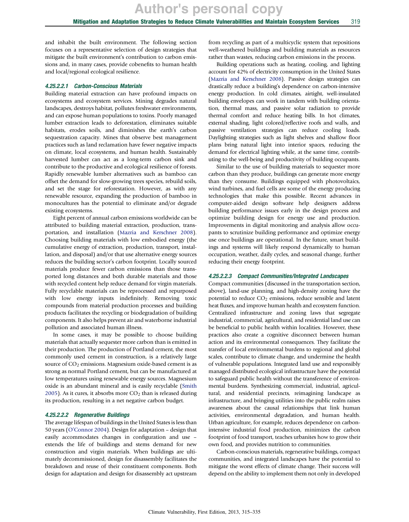and inhabit the built environment. The following section focuses on a representative selection of design strategies that mitigate the built environment's contribution to carbon emissions and, in many cases, provide cobenefits to human health and local/regional ecological resilience.

#### 4.25.2.2.1 Carbon-Conscious Materials

Building material extraction can have profound impacts on ecosystems and ecosystem services. Mining degrades natural landscapes, destroys habitat, pollutes freshwater environments, and can expose human populations to toxins. Poorly managed lumber extraction leads to deforestation, eliminates suitable habitats, erodes soils, and diminishes the earth's carbon sequestration capacity. Mines that observe best management practices such as land reclamation have fewer negative impacts on climate, local ecosystems, and human health. Sustainably harvested lumber can act as a long-term carbon sink and contribute to the productive and ecological resilience of forests. Rapidly renewable lumber alternatives such as bamboo can offset the demand for slow-growing trees species, rebuild soils, and set the stage for reforestation. However, as with any renewable resource, expanding the production of bamboo in monocultures has the potential to eliminate and/or degrade existing ecosystems.

Eight percent of annual carbon emissions worldwide can be attributed to building material extraction, production, transportation, and installation (Mazria and Kerschner 2008). Choosing building materials with low embodied energy (the cumulative energy of extraction, production, transport, installation, and disposal) and/or that use alternative energy sources reduces the building sector's carbon footprint. Locally sourced materials produce fewer carbon emissions than those transported long distances and both durable materials and those with recycled content help reduce demand for virgin materials. Fully recyclable materials can be reprocessed and repurposed with low energy inputs indefinitely. Removing toxic compounds from material production processes and building products facilitates the recycling or biodegradation of building components. It also helps prevent air and waterborne industrial pollution and associated human illness.

In some cases, it may be possible to choose building materials that actually sequester more carbon than is emitted in their production. The production of Portland cement, the most commonly used cement in construction, is a relatively large source of  $CO<sub>2</sub>$  emissions. Magnesium oxide-based cement is as strong as normal Portland cement, but can be manufactured at low temperatures using renewable energy sources. Magnesium oxide is an abundant mineral and is easily recyclable (Smith 2005). As it cures, it absorbs more  $CO<sub>2</sub>$  than is released during its production, resulting in a net negative carbon budget.

## 4.25.2.2.2 Regenerative Buildings

The average lifespan of buildings in the United States is less than 50 years (O'Connor 2004). Design for adaptation – design that easily accommodates changes in configuration and use – extends the life of buildings and stems demand for new construction and virgin materials. When buildings are ultimately decommissioned, design for disassembly facilitates the breakdown and reuse of their constituent components. Both design for adaptation and design for disassembly act upstream

from recycling as part of a multicyclic system that repositions well-weathered buildings and building materials as resources rather than wastes, reducing carbon emissions in the process.

Building operations such as heating, cooling, and lighting account for 42% of electricity consumption in the United States (Mazria and Kerschner 2008). Passive design strategies can drastically reduce a building's dependence on carbon-intensive energy production. In cold climates, airtight, well-insulated building envelopes can work in tandem with building orientation, thermal mass, and passive solar radiation to provide thermal comfort and reduce heating bills. In hot climates, external shading, light colored/reflective roofs and walls, and passive ventilation strategies can reduce cooling loads. Daylighting strategies such as light shelves and shallow floor plans bring natural light into interior spaces, reducing the demand for electrical lighting while, at the same time, contributing to the well-being and productivity of building occupants.

Similar to the use of building materials to sequester more carbon than they produce, buildings can generate more energy than they consume. Buildings equipped with photovoltaics, wind turbines, and fuel cells are some of the energy producing technologies that make this possible. Recent advances in computer-aided design software help designers address building performance issues early in the design process and optimize building design for energy use and production. Improvements in digital monitoring and analysis allow occupants to scrutinize building performance and optimize energy use once buildings are operational. In the future, smart buildings and systems will likely respond dynamically to human occupation, weather, daily cycles, and seasonal change, further reducing their energy footprint.

#### 4.25.2.2.3 Compact Communities/Integrated Landscapes

Compact communities (discussed in the transportation section, above), land-use planning, and high-density zoning have the potential to reduce  $CO<sub>2</sub>$  emissions, reduce sensible and latent heat fluxes, and improve human health and ecosystem function. Centralized infrastructure and zoning laws that segregate industrial, commercial, agricultural, and residential land use can be beneficial to public health within localities. However, these practices also create a cognitive disconnect between human action and its environmental consequences. They facilitate the transfer of local environmental burdens to regional and global scales, contribute to climate change, and undermine the health of vulnerable populations. Integrated land use and responsibly managed distributed ecological infrastructure have the potential to safeguard public health without the transference of environmental burdens. Synthesizing commercial, industrial, agricultural, and residential precincts, reimagining landscape as infrastructure, and bringing utilities into the public realm raises awareness about the causal relationships that link human activities, environmental degradation, and human health. Urban agriculture, for example, reduces dependence on carbonintensive industrial food production, minimizes the carbon footprint of food transport, teaches urbanites how to grow their own food, and provides nutrition to communities.

Carbon-conscious materials, regenerative buildings, compact communities, and integrated landscapes have the potential to mitigate the worst effects of climate change. Their success will depend on the ability to implement them not only in developed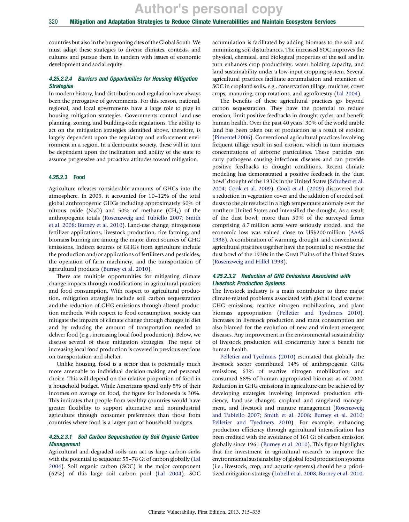countries but alsoin the burgeoning cites of the Global South.We must adapt these strategies to diverse climates, contexts, and cultures and pursue them in tandem with issues of economic development and social equity.

## 4.25.2.2.4 Barriers and Opportunities for Housing Mitigation **Strategies**

In modern history, land distribution and regulation have always been the prerogative of governments. For this reason, national, regional, and local governments have a large role to play in housing mitigation strategies. Governments control land-use planning, zoning, and building-code regulations. The ability to act on the mitigation strategies identified above, therefore, is largely dependent upon the regulatory and enforcement environment in a region. In a democratic society, these will in turn be dependent upon the inclination and ability of the state to assume progressive and proactive attitudes toward mitigation.

## 4.25.2.3 Food

Agriculture releases considerable amounts of GHGs into the atmosphere. In 2005, it accounted for 10–12% of the total global anthropogenic GHGs including approximately 60% of nitrous oxide  $(N_2O)$  and 50% of methane  $(CH_4)$  of the anthropogenic totals (Rosenzweig and Tubiello 2007; Smith et al. 2008; Burney et al. 2010). Land-use change, nitrogenous fertilizer applications, livestock production, rice farming, and biomass burning are among the major direct sources of GHG emissions. Indirect sources of GHGs from agriculture include the production and/or applications of fertilizers and pesticides, the operation of farm machinery, and the transportation of agricultural products (Burney et al. 2010).

There are multiple opportunities for mitigating climate change impacts through modifications in agricultural practices and food consumption. With respect to agricultural production, mitigation strategies include soil carbon sequestration and the reduction of GHG emissions through altered production methods. With respect to food consumption, society can mitigate the impacts of climate change through changes in diet and by reducing the amount of transportation needed to deliver food (e.g., increasing local food production). Below, we discuss several of these mitigation strategies. The topic of increasing local food production is covered in previous sections on transportation and shelter.

Unlike housing, food is a sector that is potentially much more amenable to individual decision-making and personal choice. This will depend on the relative proportion of food in a household budget. While Americans spend only 5% of their incomes on average on food, the figure for Indonesia is 30%. This indicates that people from wealthy countries would have greater flexibility to support alternative and nonindustrial agriculture through consumer preferences than those from countries where food is a larger part of household budgets.

## 4.25.2.3.1 Soil Carbon Sequestration by Soil Organic Carbon **Management**

Agricultural and degraded soils can act as large carbon sinks with the potential to sequester 55–78 Gt of carbon globally (Lal 2004). Soil organic carbon (SOC) is the major component (62%) of this large soil carbon pool (Lal 2004). SOC

accumulation is facilitated by adding biomass to the soil and minimizing soil disturbances. The increased SOC improves the physical, chemical, and biological properties of the soil and in turn enhances crop productivity, water holding capacity, and land sustainability under a low-input cropping system. Several agricultural practices facilitate accumulation and retention of SOC in cropland soils, e.g., conservation tillage, mulches, cover crops, manuring, crop rotations, and agroforestry (Lal 2004).

The benefits of these agricultural practices go beyond carbon sequestration. They have the potential to reduce erosion, limit positive feedbacks in drought cycles, and benefit human health. Over the past 40 years, 30% of the world arable land has been taken out of production as a result of erosion (Pimentel 2006). Conventional agricultural practices involving frequent tillage result in soil erosion, which in turn increases concentrations of airborne particulates. These particles can carry pathogens causing infectious diseases and can provide positive feedbacks to drought conditions. Recent climate modeling has demonstrated a positive feedback in the 'dust bowl' drought of the 1930s in the United States (Schubert et al. 2004; Cook et al. 2009). Cook et al. (2009) discovered that a reduction in vegetation cover and the addition of eroded soil dusts to the air resulted in a high temperature anomaly over the northern United States and intensified the drought. As a result of the dust bowl, more than 50% of the surveyed farms comprising 8.7 million acres were seriously eroded, and the economic loss was valued close to US\$200 million (AAAS 1936). A combination of warming, drought, and conventional agricultural practices together have the potential to re-create the dust bowl of the 1930s in the Great Plains of the United States (Rosenzweig and Hillel 1993).

## 4.25.2.3.2 Reduction of GHG Emissions Associated with Livestock Production Systems

The livestock industry is a main contributor to three major climate-related problems associated with global food systems: GHG emissions, reactive nitrogen mobilization, and plant biomass appropriation (Pelletier and Tyedmers 2010). Increases in livestock production and meat consumption are also blamed for the evolution of new and virulent emergent diseases. Any improvement in the environmental sustainability of livestock production will concurrently have a benefit for human health.

Pelletier and Tyedmers (2010) estimated that globally the livestock sector contributed 14% of anthropogenic GHG emissions, 63% of reactive nitrogen mobilization, and consumed 58% of human-appropriated biomass as of 2000. Reduction in GHG emissions in agriculture can be achieved by developing strategies involving improved production efficiency, land-use changes, cropland and rangeland management, and livestock and manure management (Rosenzweig and Tubiello 2007; Smith et al. 2008; Burney et al. 2010; Pelletier and Tyedmers 2010). For example, enhancing production efficiency through agricultural intensification has been credited with the avoidance of 161 Gt of carbon emission globally since 1961 (Burney et al. 2010). This figure highlights that the investment in agricultural research to improve the environmental sustainability of global food production systems (i.e., livestock, crop, and aquatic systems) should be a prioritized mitigation strategy (Lobell et al. 2008; Burney et al. 2010;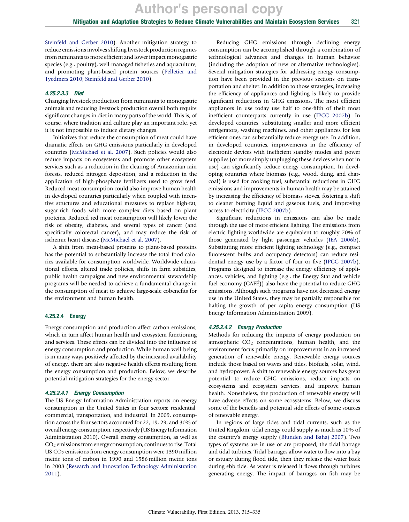Steinfeld and Gerber 2010). Another mitigation strategy to reduce emissions involves shifting livestock production regimes from ruminants to more efficient and lower impact monogastric species (e.g., poultry), well-managed fisheries and aquaculture, and promoting plant-based protein sources (Pelletier and Tyedmers 2010; Steinfeld and Gerber 2010).

#### 4.25.2.3.3 Diet

Changing livestock production from ruminants to monogastric animals and reducing livestock production overall both require significant changes in diet in many parts of the world. This is, of course, where tradition and culture play an important role, yet it is not impossible to induce dietary changes.

Initiatives that reduce the consumption of meat could have dramatic effects on GHG emissions particularly in developed countries (McMichael et al. 2007). Such policies would also reduce impacts on ecosystems and promote other ecosystem services such as a reduction in the clearing of Amazonian rain forests, reduced nitrogen deposition, and a reduction in the application of high-phosphate fertilizers used to grow feed. Reduced meat consumption could also improve human health in developed countries particularly when coupled with incentive structures and educational measures to replace high-fat, sugar-rich foods with more complex diets based on plant proteins. Reduced red meat consumption will likely lower the risk of obesity, diabetes, and several types of cancer (and specifically colorectal cancer), and may reduce the risk of ischemic heart disease (McMichael et al. 2007).

A shift from meat-based proteins to plant-based proteins has the potential to substantially increase the total food calories available for consumption worldwide. Worldwide educational efforts, altered trade policies, shifts in farm subsidies, public health campaigns and new environmental stewardship programs will be needed to achieve a fundamental change in the consumption of meat to achieve large-scale cobenefits for the environment and human health.

#### 4.25.2.4 Energy

Energy consumption and production affect carbon emissions, which in turn affect human health and ecosystem functioning and services. These effects can be divided into the influence of energy consumption and production. While human well-being is in many ways positively affected by the increased availability of energy, there are also negative health effects resulting from the energy consumption and production. Below, we describe potential mitigation strategies for the energy sector.

#### 4.25.2.4.1 Energy Consumption

The US Energy Information Administration reports on energy consumption in the United States in four sectors: residential, commercial, transportation, and industrial. In 2009, consumption across the four sectors accounted for 22, 19, 29, and 30% of overall energy consumption, respectively (US Energy Information Administration 2010). Overall energy consumption, as well as CO2 emissions from energy consumption, continues to rise. Total US CO2 emissions from energy consumption were 1390 million metric tons of carbon in 1990 and 1586 million metric tons in 2008 (Research and Innovation Technology Administration 2011).

Reducing GHG emissions through declining energy consumption can be accomplished through a combination of technological advances and changes in human behavior (including the adoption of new or alternative technologies). Several mitigation strategies for addressing energy consumption have been provided in the previous sections on transportation and shelter. In addition to those strategies, increasing the efficiency of appliances and lighting is likely to provide significant reductions in GHG emissions. The most efficient appliances in use today use half to one-fifth of their most inefficient counterparts currently in use (IPCC 2007b). In developed countries, substituting smaller and more efficient refrigerators, washing machines, and other appliances for less efficient ones can substantially reduce energy use. In addition, in developed countries, improvements in the efficiency of electronic devices with inefficient standby modes and power supplies (or more simply unplugging these devices when not in use) can significantly reduce energy consumption. In developing countries where biomass (e.g., wood, dung, and charcoal) is used for cooking fuel, substantial reductions in GHG emissions and improvements in human health may be attained by increasing the efficiency of biomass stoves, fostering a shift to cleaner burning liquid and gaseous fuels, and improving access to electricity (IPCC 2007b).

Significant reductions in emissions can also be made through the use of more efficient lighting. The emissions from electric lighting worldwide are equivalent to roughly 70% of those generated by light passenger vehicles (IEA 2006b). Substituting more efficient lighting technology (e.g., compact fluorescent bulbs and occupancy detectors) can reduce residential energy use by a factor of four or five (IPCC 2007b). Programs designed to increase the energy efficiency of appliances, vehicles, and lighting (e.g., the Energy Star and vehicle fuel economy (CAFÉ)) also have the potential to reduce GHG emissions. Although such programs have not decreased energy use in the United States, they may be partially responsible for halting the growth of per capita energy consumption (US Energy Information Administration 2009).

#### 4.25.2.4.2 Energy Production

Methods for reducing the impacts of energy production on atmospheric  $CO<sub>2</sub>$  concentrations, human health, and the environment focus primarily on improvements in an increased generation of renewable energy. Renewable energy sources include those based on waves and tides, biofuels, solar, wind, and hydropower. A shift to renewable energy sources has great potential to reduce GHG emissions, reduce impacts on ecosystems and ecosystem services, and improve human health. Nonetheless, the production of renewable energy will have adverse effects on some ecosystems. Below, we discuss some of the benefits and potential side effects of some sources of renewable energy.

In regions of large tides and tidal currents, such as the United Kingdom, tidal energy could supply as much as 10% of the country's energy supply (Blunden and Bahaj 2007). Two types of systems are in use or are proposed, the tidal barrage and tidal turbines. Tidal barrages allow water to flow into a bay or estuary during flood tide, then they release the water back during ebb tide. As water is released it flows through turbines generating energy. The impact of barrages on fish may be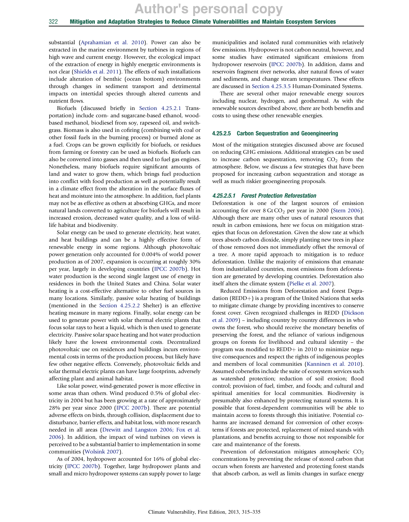substantial (Aprahamian et al. 2010). Power can also be extracted in the marine environment by turbines in regions of high wave and current energy. However, the ecological impact of the extraction of energy in highly energetic environments is not clear (Shields et al. 2011). The effects of such installations include alteration of benthic (ocean bottom) environments through changes in sediment transport and detrimental impacts on intertidal species through altered currents and nutrient flows.

Biofuels (discussed briefly in Section 4.25.2.1 Transportation) include corn- and sugarcane-based ethanol, woodbased methanol, biodiesel from soy, rapeseed oil, and switchgrass. Biomass is also used in cofiring (combining with coal or other fossil fuels in the burning process) or burned alone as a fuel. Crops can be grown explicitly for biofuels, or residues from farming or forestry can be used as biofuels. Biofuels can also be converted into gasses and then used to fuel gas engines. Nonetheless, many biofuels require significant amounts of land and water to grow them, which brings fuel production into conflict with food production as well as potentially result in a climate effect from the alteration in the surface fluxes of heat and moisture into the atmosphere. In addition, fuel plants may not be as effective as others at absorbing GHGs, and more natural lands converted to agriculture for biofuels will result in increased erosion, decreased water quality, and a loss of wildlife habitat and biodiversity.

Solar energy can be used to generate electricity, heat water, and heat buildings and can be a highly effective form of renewable energy in some regions. Although photovoltaic power generation only accounted for 0.004% of world power production as of 2007, expansion is occurring at roughly 30% per year, largely in developing countries (IPCC 2007b). Hot water production is the second single largest use of energy in residences in both the United States and China. Solar water heating is a cost-effective alternative to other fuel sources in many locations. Similarly, passive solar heating of buildings (mentioned in the Section 4.25.2.2 Shelter) is an effective heating measure in many regions. Finally, solar energy can be used to generate power with solar thermal electric plants that focus solar rays to heat a liquid, which is then used to generate electricity. Passive solar space heating and hot water production likely have the lowest environmental costs. Decentralized photovoltaic use on residences and buildings incurs environmental costs in terms of the production process, but likely have few other negative effects. Conversely, photovoltaic fields and solar thermal electric plants can have large footprints, adversely affecting plant and animal habitat.

Like solar power, wind-generated power is more effective in some areas than others. Wind produced 0.5% of global electricity in 2004 but has been growing at a rate of approximately 28% per year since 2000 (IPCC 2007b). There are potential adverse effects on birds, through collision, displacement due to disturbance, barrier effects, and habitat loss, with more research needed in all areas (Drewitt and Langston 2006; Fox et al. 2006). In addition, the impact of wind turbines on views is perceived to be a substantial barrier to implementation in some communities (Wolsink 2007).

As of 2004, hydropower accounted for 16% of global electricity (IPCC 2007b). Together, large hydropower plants and small and micro hydropower systems can supply power to large municipalities and isolated rural communities with relatively few emissions. Hydropower is not carbon neutral, however, and some studies have estimated significant emissions from hydropower reservoirs (IPCC 2007b). In addition, dams and reservoirs fragment river networks, alter natural flows of water and sediments, and change stream temperatures. These effects are discussed in Section 4.25.3.5 Human-Dominated Systems.

There are several other major renewable energy sources including nuclear, hydrogen, and geothermal. As with the renewable sources described above, there are both benefits and costs to using these other renewable energies.

#### 4.25.2.5 Carbon Sequestration and Geoengineering

Most of the mitigation strategies discussed above are focused on reducing GHG emissions. Additional strategies can be used to increase carbon sequestration, removing  $CO<sub>2</sub>$  from the atmosphere. Below, we discuss a few strategies that have been proposed for increasing carbon sequestration and storage as well as much riskier geoengineering proposals.

#### 4.25.2.5.1 Forest Protection Reforestation

Deforestation is one of the largest sources of emission accounting for over 8 Gt CO<sub>2</sub> per year in 2000 (Stern 2006). Although there are many other uses of natural resources that result in carbon emissions, here we focus on mitigation strategies that focus on deforestation. Given the slow rate at which trees absorb carbon dioxide, simply planting new trees in place of those removed does not immediately offset the removal of a tree. A more rapid approach to mitigation is to reduce deforestation. Unlike the majority of emissions that emanate from industrialized countries, most emissions from deforestation are generated by developing countries. Deforestation also itself alters the climate system (Pielke et al. 2007).

Reduced Emissions from Deforestation and forest Degradation ( $REDD+$ ) is a program of the United Nations that seeks to mitigate climate change by providing incentives to conserve forest cover. Given recognized challenges in REDD (Dickson et al. 2009) – including country by country differences in who owns the forest, who should receive the monetary benefits of preserving the forest, and the reliance of various indigenous groups on forests for livelihood and cultural identity – the program was modified to  $REDD+$  in 2010 to minimize negative consequences and respect the rights of indigenous peoples and members of local communities (Kanninen et al. 2010). Assumed cobenefits include the suite of ecosystem services such as watershed protection; reduction of soil erosion; flood control; provision of fuel, timber, and foods; and cultural and spiritual amenities for local communities. Biodiversity is presumably also enhanced by protecting natural systems. It is possible that forest-dependent communities will be able to maintain access to forests through this initiative. Potential coharms are increased demand for conversion of other ecosystems if forests are protected, replacement of mixed stands with plantations, and benefits accruing to those not responsible for care and maintenance of the forests.

Prevention of deforestation mitigates atmospheric  $CO<sub>2</sub>$ concentrations by preventing the release of stored carbon that occurs when forests are harvested and protecting forest stands that absorb carbon, as well as limits changes in surface energy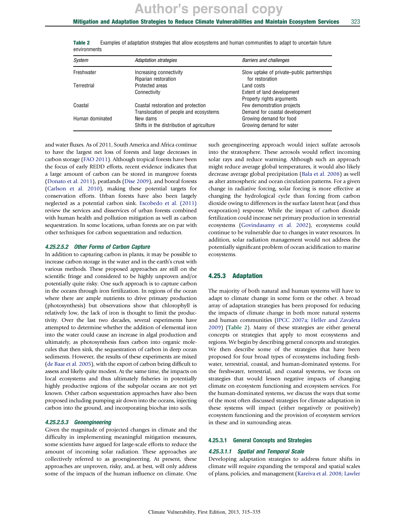| System          | <b>Adaptation strategies</b>                                                 | <b>Barriers and challenges</b>                                        |
|-----------------|------------------------------------------------------------------------------|-----------------------------------------------------------------------|
| Freshwater      | Increasing connectivity<br>Riparian restoration                              | Slow uptake of private–public partnerships<br>for restoration         |
| Terrestrial     | Protected areas<br>Connectivity                                              | Land costs<br>Extent of land development<br>Property rights arguments |
| Coastal         | Coastal restoration and protection<br>Translocation of people and ecosystems | Few demonstration projects<br>Demand for coastal development          |
| Human dominated | New dams<br>Shifts in the distribution of agriculture                        | Growing demand for food<br>Growing demand for water                   |

Table 2 Examples of adaptation strategies that allow ecosystems and human communities to adapt to uncertain future environments

and water fluxes. As of 2011, South America and Africa continue to have the largest net loss of forests and large decreases in carbon storage (FAO 2011). Although tropical forests have been the focus of early REDD efforts, recent evidence indicates that a large amount of carbon can be stored in mangrove forests (Donato et al. 2011), peatlands (Dise 2009), and boreal forests (Carlson et al. 2010), making these potential targets for conservation efforts. Urban forests have also been largely neglected as a potential carbon sink. Escobedo et al. (2011) review the services and disservices of urban forests combined with human health and pollution mitigation as well as carbon sequestration. In some locations, urban forests are on par with other techniques for carbon sequestration and reduction.

## 4.25.2.5.2 Other Forms of Carbon Capture

In addition to capturing carbon in plants, it may be possible to increase carbon storage in the water and in the earth's crust with various methods. These proposed approaches are still on the scientific fringe and considered to be highly unproven and/or potentially quite risky. One such approach is to capture carbon in the oceans through iron fertilization. In regions of the ocean where there are ample nutrients to drive primary production (photosynthesis) but observations show that chlorophyll is relatively low, the lack of iron is thought to limit the productivity. Over the last two decades, several experiments have attempted to determine whether the addition of elemental iron into the water could cause an increase in algal production and ultimately, as photosynthesis fixes carbon into organic molecules that then sink, the sequestration of carbon in deep ocean sediments. However, the results of these experiments are mixed (de Baar et al. 2005), with the export of carbon being difficult to assess and likely quite modest. At the same time, the impacts on local ecosystems and thus ultimately fisheries in potentially highly productive regions of the subpolar oceans are not yet known. Other carbon sequestration approaches have also been proposed including pumping air down into the oceans, injecting carbon into the ground, and incorporating biochar into soils.

#### 4.25.2.5.3 Geoengineering

Given the magnitude of projected changes in climate and the difficulty in implementing meaningful mitigation measures, some scientists have argued for large-scale efforts to reduce the amount of incoming solar radiation. These approaches are collectively referred to as geoengineering. At present, these approaches are unproven, risky, and, at best, will only address some of the impacts of the human influence on climate. One

such geoengineering approach would inject sulfate aerosols into the stratosphere. These aerosols would reflect incoming solar rays and reduce warming. Although such an approach might reduce average global temperatures, it would also likely decrease average global precipitation (Bala et al. 2008) as well as alter atmospheric and ocean circulation patterns. For a given change in radiative forcing, solar forcing is more effective at changing the hydrological cycle than forcing from carbon dioxide owing to differences in the surface latent heat (and thus evaporation) response. While the impact of carbon dioxide fertilization could increase net primary production in terrestrial ecosystems (Govindasamy et al. 2002), ecosystems could continue to be vulnerable due to changes in water resources. In addition, solar radiation management would not address the potentially significant problem of ocean acidification to marine ecosystems.

## 4.25.3 Adaptation

The majority of both natural and human systems will have to adapt to climate change in some form or the other. A broad array of adaptation strategies has been proposed for reducing the impacts of climate change in both more natural systems and human communities (IPCC 2007a; Heller and Zavaleta 2009) (Table 2). Many of these strategies are either general concepts or strategies that apply to most ecosystems and regions. We begin by describing general concepts and strategies. We then describe some of the strategies that have been proposed for four broad types of ecosystems including freshwater, terrestrial, coastal, and human-dominated systems. For the freshwater, terrestrial, and coastal systems, we focus on strategies that would lessen negative impacts of changing climate on ecosystem functioning and ecosystem services. For the human-dominated systems, we discuss the ways that some of the most often discussed strategies for climate adaptation in these systems will impact (either negatively or positively) ecosystem functioning and the provision of ecosystem services in these and in surrounding areas.

#### 4.25.3.1 General Concepts and Strategies

#### 4.25.3.1.1 Spatial and Temporal Scale

Developing adaptation strategies to address future shifts in climate will require expanding the temporal and spatial scales of plans, policies, and management (Kareiva et al. 2008; Lawler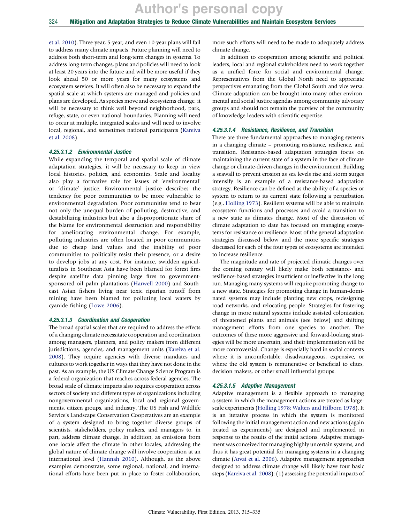et al. 2010). Three-year, 5-year, and even 10-year plans will fail to address many climate impacts. Future planning will need to address both short-term and long-term changes in systems. To address long-term changes, plans and policies will need to look at least 20 years into the future and will be more useful if they look ahead 50 or more years for many ecosystems and ecosystem services. It will often also be necessary to expand the spatial scale at which systems are managed and policies and plans are developed. As species move and ecosystems change, it will be necessary to think well beyond neighborhood, park, refuge, state, or even national boundaries. Planning will need to occur at multiple, integrated scales and will need to involve local, regional, and sometimes national participants (Kareiva et al. 2008).

## 4.25.3.1.2 Environmental Justice

While expanding the temporal and spatial scale of climate adaptation strategies, it will be necessary to keep in view local histories, politics, and economies. Scale and locality also play a formative role for issues of 'environmental' or 'climate' justice. Environmental justice describes the tendency for poor communities to be more vulnerable to environmental degradation. Poor communities tend to bear not only the unequal burden of polluting, destructive, and destabilizing industries but also a disproportionate share of the blame for environmental destruction and responsibility for ameliorating environmental change. For example, polluting industries are often located in poor communities due to cheap land values and the inability of poor communities to politically resist their presence, or a desire to develop jobs at any cost. For instance, swidden agriculturalists in Southeast Asia have been blamed for forest fires despite satellite data pinning large fires to governmentsponsored oil palm plantations (Harwell 2000) and Southeast Asian fishers living near toxic riparian runoff from mining have been blamed for polluting local waters by cyanide fishing (Lowe 2006).

#### 4.25.3.1.3 Coordination and Cooperation

The broad spatial scales that are required to address the effects of a changing climate necessitate cooperation and coordination among managers, planners, and policy makers from different jurisdictions, agencies, and management units (Kareiva et al. 2008). They require agencies with diverse mandates and cultures to work together in ways that they have not done in the past. As an example, the US Climate Change Science Program is a federal organization that reaches across federal agencies. The broad scale of climate impacts also requires cooperation across sectors of society and different types of organizations including nongovernmental organizations, local and regional governments, citizen groups, and industry. The US Fish and Wildlife Service's Landscape Conservation Cooperatives are an example of a system designed to bring together diverse groups of scientists, stakeholders, policy makers, and managers to, in part, address climate change. In addition, as emissions from one locale affect the climate in other locales, addressing the global nature of climate change will involve cooperation at an international level (Hannah 2010). Although, as the above examples demonstrate, some regional, national, and international efforts have been put in place to foster collaboration,

more such efforts will need to be made to adequately address climate change.

In addition to cooperation among scientific and political leaders, local and regional stakeholders need to work together as a unified force for social and environmental change. Representatives from the Global North need to appreciate perspectives emanating from the Global South and vice versa. Climate adaptation can be brought into many other environmental and social justice agendas among community advocacy groups and should not remain the purview of the community of knowledge leaders with scientific expertise.

#### 4.25.3.1.4 Resistance, Resilience, and Transition

There are three fundamental approaches to managing systems in a changing climate – promoting resistance, resilience, and transition. Resistance-based adaptation strategies focus on maintaining the current state of a system in the face of climate change or climate-driven changes in the environment. Building a seawall to prevent erosion as sea levels rise and storm surges intensify is an example of a resistance-based adaptation strategy. Resilience can be defined as the ability of a species or system to return to its current state following a perturbation (e.g., Holling 1973). Resilient systems will be able to maintain ecosystem functions and processes and avoid a transition to a new state as climates change. Most of the discussion of climate adaptation to date has focused on managing ecosystems for resistance or resilience. Most of the general adaptation strategies discussed below and the more specific strategies discussed for each of the four types of ecosystems are intended to increase resilience.

The magnitude and rate of projected climatic changes over the coming century will likely make both resistance- and resilience-based strategies insufficient or ineffective in the long run. Managing many systems will require promoting change to a new state. Strategies for promoting change in human-dominated systems may include planting new crops, redesigning road networks, and relocating people. Strategies for fostering change in more natural systems include assisted colonization of threatened plants and animals (see below) and shifting management efforts from one species to another. The outcomes of these more aggressive and forward-looking strategies will be more uncertain, and their implementation will be more controversial. Change is especially hard in social contexts where it is uncomfortable, disadvantageous, expensive, or where the old system is remunerative or beneficial to elites, decision makers, or other small influential groups.

#### 4.25.3.1.5 Adaptive Management

Adaptive management is a flexible approach to managing a system in which the management actions are treated as largescale experiments (Holling 1978; Walters and Hilborn 1978). It is an iterative process in which the system is monitored following the initial management action and new actions (again treated as experiments) are designed and implemented in response to the results of the initial actions. Adaptive management was conceived for managing highly uncertain systems, and thus it has great potential for managing systems in a changing climate (Arvai et al. 2006). Adaptive management approaches designed to address climate change will likely have four basic steps (Kareiva et al. 2008): (1) assessing the potential impacts of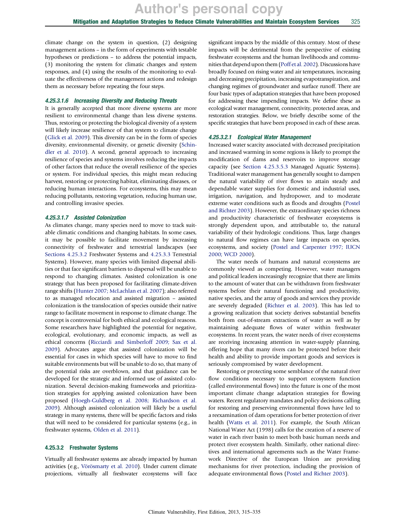climate change on the system in question, (2) designing management actions – in the form of experiments with testable hypotheses or predictions – to address the potential impacts, (3) monitoring the system for climatic changes and system responses, and (4) using the results of the monitoring to evaluate the effectiveness of the management actions and redesign them as necessary before repeating the four steps.

#### 4.25.3.1.6 Increasing Diversity and Reducing Threats

It is generally accepted that more diverse systems are more resilient to environmental change than less diverse systems. Thus, restoring or protecting the biological diversity of a system will likely increase resilience of that system to climate change (Glick et al. 2009). This diversity can be in the form of species diversity, environmental diversity, or genetic diversity (Schindler et al. 2010). A second, general approach to increasing resilience of species and systems involves reducing the impacts of other factors that reduce the overall resilience of the species or system. For individual species, this might mean reducing harvest, restoring or protecting habitat, eliminating diseases, or reducing human interactions. For ecosystems, this may mean reducing pollutants, restoring vegetation, reducing human use, and controlling invasive species.

## 4.25.3.1.7 Assisted Colonization

As climates change, many species need to move to track suitable climatic conditions and changing habitats. In some cases, it may be possible to facilitate movement by increasing connectivity of freshwater and terrestrial landscapes (see Sections 4.25.3.2 Freshwater Systems and 4.25.3.3 Terrestrial Systems). However, many species with limited dispersal abilities or that face significant barriers to dispersal will be unable to respond to changing climates. Assisted colonization is one strategy that has been proposed for facilitating climate-driven range shifts (Hunter 2007; McLachlan et al. 2007); also referred to as managed relocation and assisted migration – assisted colonization is the translocation of species outside their native range to facilitate movement in response to climate change. The concept is controversial for both ethical and ecological reasons. Some researchers have highlighted the potential for negative, ecological, evolutionary, and economic impacts, as well as ethical concerns (Ricciardi and Simberloff 2009; Sax et al. 2009). Advocates argue that assisted colonization will be essential for cases in which species will have to move to find suitable environments but will be unable to do so, that many of the potential risks are overblown, and that guidance can be developed for the strategic and informed use of assisted colonization. Several decision-making frameworks and prioritization strategies for applying assisted colonization have been proposed (Hoegh-Guldberg et al. 2008; Richardson et al. 2009). Although assisted colonization will likely be a useful strategy in many systems, there will be specific factors and risks that will need to be considered for particular systems (e.g., in freshwater systems, Olden et al. 2011).

## 4.25.3.2 Freshwater Systems

Virtually all freshwater systems are already impacted by human activities (e.g., Vörösmarty et al. 2010). Under current climate projections, virtually all freshwater ecosystems will face significant impacts by the middle of this century. Most of these impacts will be detrimental from the perspective of existing freshwater ecosystems and the human livelihoods and communities that depend upon them (Poff et al. 2002). Discussions have broadly focused on rising water and air temperatures, increasing and decreasing precipitation, increasing evapotranspiration, and changing regimes of groundwater and surface runoff. There are four basic types of adaptation strategies that have been proposed for addressing these impending impacts. We define these as ecological water management, connectivity, protected areas, and restoration strategies. Below, we briefly describe some of the specific strategies that have been proposed in each of these areas.

## 4.25.3.2.1 Ecological Water Management

Increased water scarcity associated with decreased precipitation and increased warming in some regions is likely to prompt the modification of dams and reservoirs to improve storage capacity (see Section 4.25.3.5.3 Managed Aquatic Systems). Traditional water management has generally sought to dampen the natural variability of river flows to attain steady and dependable water supplies for domestic and industrial uses, irrigation, navigation, and hydropower, and to moderate extreme water conditions such as floods and droughts (Postel and Richter 2003). However, the extraordinary species richness and productivity characteristic of freshwater ecosystems is strongly dependent upon, and attributable to, the natural variability of their hydrologic conditions. Thus, large changes to natural flow regimes can have large impacts on species, ecosystems, and society (Postel and Carpenter 1997; IUCN 2000; WCD 2000).

The water needs of humans and natural ecosystems are commonly viewed as competing. However, water managers and political leaders increasingly recognize that there are limits to the amount of water that can be withdrawn from freshwater systems before their natural functioning and productivity, native species, and the array of goods and services they provide are severely degraded (Richter et al. 2003). This has led to a growing realization that society derives substantial benefits both from out-of-stream extractions of water as well as by maintaining adequate flows of water within freshwater ecosystems. In recent years, the water needs of river ecosystems are receiving increasing attention in water-supply planning, offering hope that many rivers can be protected before their health and ability to provide important goods and services is seriously compromised by water development.

Restoring or protecting some semblance of the natural river flow conditions necessary to support ecosystem function (called environmental flows) into the future is one of the most important climate change adaptation strategies for flowing waters. Recent regulatory mandates and policy decisions calling for restoring and preserving environmental flows have led to a reexamination of dam operations for better protection of river health (Watts et al. 2011). For example, the South African National Water Act (1998) calls for the creation of a reserve of water in each river basin to meet both basic human needs and protect river ecosystem health. Similarly, other national directives and international agreements such as the Water Framework Directive of the European Union are providing mechanisms for river protection, including the provision of adequate environmental flows (Postel and Richter 2003).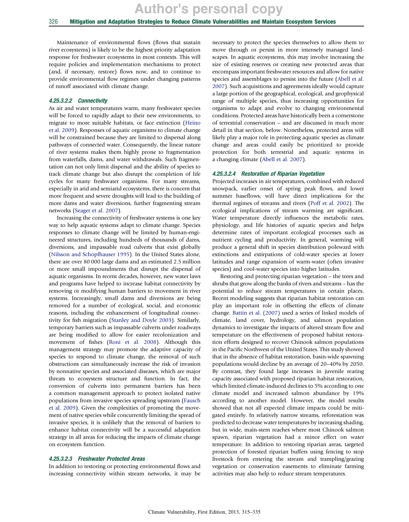Maintenance of environmental flows (flows that sustain river ecosystems) is likely to be the highest priority adaptation response for freshwater ecosystems in most contexts. This will require policies and implementation mechanisms to protect (and, if necessary, restore) flows now, and to continue to provide environmental flow regimes under changing patterns of runoff associated with climate change.

## 4.25.3.2.2 Connectivity

As air and water temperatures warm, many freshwater species will be forced to rapidly adapt to their new environments, to migrate to more suitable habitats, or face extinction (Heino et al. 2009). Responses of aquatic organisms to climate change will be constrained because they are limited to dispersal along pathways of connected water. Consequently, the linear nature of river systems makes them highly prone to fragmentation from waterfalls, dams, and water withdrawals. Such fragmentation can not only limit dispersal and the ability of species to track climate change but also disrupt the completion of life cycles for many freshwater organisms. For many streams, especially in arid and semiarid ecosystems, there is concern that more frequent and severe droughts will lead to the building of more dams and water diversions, further fragmenting stream networks (Seager et al. 2007).

Increasing the connectivity of freshwater systems is one key way to help aquatic systems adapt to climate change. Species responses to climate change will be limited by human-engineered structures, including hundreds of thousands of dams, diversions, and impassable road culverts that exist globally (Nilsson and Schopfhauser 1995). In the United States alone, there are over 80 000 large dams and an estimated 2.5 million or more small impoundments that disrupt the dispersal of aquatic organisms. In recent decades, however, new water laws and programs have helped to increase habitat connectivity by removing or modifying human barriers to movement in river systems. Increasingly, small dams and diversions are being removed for a number of ecological, social, and economic reasons, including the enhancement of longitudinal connectivity for fish migration (Stanley and Doyle 2003). Similarly, temporary barriers such as impassable culverts under roadways are being modified to allow for easier recolonization and movement of fishes (Roni et al. 2008). Although this management strategy may promote the adaptive capacity of species to respond to climate change, the removal of such obstructions can simultaneously increase the risk of invasion by nonnative species and associated diseases, which are major threats to ecosystem structure and function. In fact, the conversion of culverts into permanent barriers has been a common management approach to protect isolated native populations from invasive species spreading upstream (Fausch et al. 2009). Given the complexities of promoting the movement of native species while concurrently limiting the spread of invasive species, it is unlikely that the removal of barriers to enhance habitat connectivity will be a successful adaptation strategy in all areas for reducing the impacts of climate change on ecosystem function.

#### 4.25.3.2.3 Freshwater Protected Areas

In addition to restoring or protecting environmental flows and increasing connectivity within stream networks, it may be

necessary to protect the species themselves to allow them to move through or persist in more intensely managed landscapes. In aquatic ecosystems, this may involve increasing the size of existing reserves or creating new protected areas that encompass important freshwater resources and allow for native species and assemblages to persist into the future (Abell et al. 2007). Such acquisitions and agreements ideally would capture a large portion of the geographical, ecological, and geophysical range of multiple species, thus increasing opportunities for organisms to adapt and evolve to changing environmental conditions. Protected areas have historically been a cornerstone of terrestrial conservation – and are discussed in much more detail in that section, below. Nonetheless, protected areas will likely play a major role in protecting aquatic species as climate change and areas could easily be prioritized to provide protection for both terrestrial and aquatic systems in a changing climate (Abell et al. 2007).

#### 4.25.3.2.4 Restoration of Riparian Vegetation

Projected increases in air temperatures, combined with reduced snowpack, earlier onset of spring peak flows, and lower summer baseflows, will have direct implications for the thermal regimes of streams and rivers (Poff et al. 2002). The ecological implications of stream warming are significant. Water temperature directly influences the metabolic rates, physiology, and life histories of aquatic species and helps determine rates of important ecological processes such as nutrient cycling and productivity. In general, warming will produce a general shift in species distribution poleward with extinctions and extirpations of cold-water species at lower latitudes and range expansion of warm-water (often invasive species) and cool-water species into higher latitudes.

Restoring and protecting riparian vegetation – the trees and shrubs that grow along the banks of rivers and streams – has the potential to reduce stream temperatures in certain places. Recent modeling suggests that riparian habitat restoration can play an important role in offsetting the effects of climate change. Battin et al. (2007) used a series of linked models of climate, land cover, hydrology, and salmon population dynamics to investigate the impacts of altered stream flow and temperature on the effectiveness of proposed habitat restoration efforts designed to recover Chinook salmon populations in the Pacific Northwest of the United States. This study showed that in the absence of habitat restoration, basin-wide spawning populations would decline by an average of 20–40% by 2050. By contrast, they found large increases in juvenile rearing capacity associated with proposed riparian habitat restoration, which limited climate-induced declines to 5% according to one climate model and increased salmon abundance by 19% according to another model. However, the model results showed that not all expected climate impacts could be mitigated entirely. In relatively narrow streams, reforestation was predicted to decrease water temperatures by increasing shading, but in wide, main-stem reaches where most Chinook salmon spawn, riparian vegetation had a minor effect on water temperature. In addition to restoring riparian areas, targeted protection of forested riparian buffers using fencing to stop livestock from entering the stream and trampling/grazing vegetation or conservation easements to eliminate farming activities may also help to reduce stream temperatures.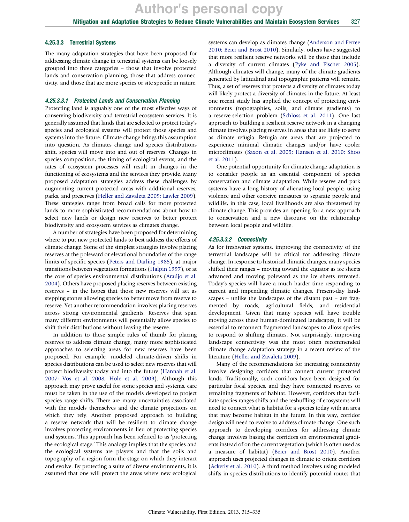#### 4.25.3.3 Terrestrial Systems

The many adaptation strategies that have been proposed for addressing climate change in terrestrial systems can be loosely grouped into three categories – those that involve protected lands and conservation planning, those that address connectivity, and those that are more species or site specific in nature.

#### 4.25.3.3.1 Protected Lands and Conservation Planning

Protecting land is arguably one of the most effective ways of conserving biodiversity and terrestrial ecosystem services. It is generally assumed that lands that are selected to protect today's species and ecological systems will protect those species and systems into the future. Climate change brings this assumption into question. As climates change and species distributions shift, species will move into and out of reserves. Changes in species composition, the timing of ecological events, and the rates of ecosystem processes will result in changes in the functioning of ecosystems and the services they provide. Many proposed adaptation strategies address these challenges by augmenting current protected areas with additional reserves, parks, and preserves (Heller and Zavaleta 2009; Lawler 2009). These strategies range from broad calls for more protected lands to more sophisticated recommendations about how to select new lands or design new reserves to better protect biodiversity and ecosystem services as climates change.

A number of strategies have been proposed for determining where to put new protected lands to best address the effects of climate change. Some of the simplest strategies involve placing reserves at the poleward or elevational boundaries of the range limits of specific species (Peters and Darling 1985), at major transitions between vegetation formations (Halpin 1997), or at the core of species environmental distributions (Araújo et al. 2004). Others have proposed placing reserves between existing reserves – in the hopes that those new reserves will act as stepping stones allowing species to better move from reserve to reserve. Yet another recommendation involves placing reserves across strong environmental gradients. Reserves that span many different environments will potentially allow species to shift their distributions without leaving the reserve.

In addition to these simple rules of thumb for placing reserves to address climate change, many more sophisticated approaches to selecting areas for new reserves have been proposed. For example, modeled climate-driven shifts in species distributions can be used to select new reserves that will protect biodiversity today and into the future (Hannah et al. 2007; Vos et al. 2008; Hole et al. 2009). Although this approach may prove useful for some species and systems, care must be taken in the use of the models developed to project species range shifts. There are many uncertainties associated with the models themselves and the climate projections on which they rely. Another proposed approach to building a reserve network that will be resilient to climate change involves protecting environments in lieu of protecting species and systems. This approach has been referred to as 'protecting the ecological stage.' This analogy implies that the species and the ecological systems are players and that the soils and topography of a region form the stage on which they interact and evolve. By protecting a suite of diverse environments, it is assumed that one will protect the areas where new ecological

systems can develop as climates change (Anderson and Ferree 2010; Beier and Brost 2010). Similarly, others have suggested that more resilient reserve networks will be those that include a diversity of current climates (Pyke and Fischer 2005). Although climates will change, many of the climate gradients generated by latitudinal and topographic patterns will remain. Thus, a set of reserves that protects a diversity of climates today will likely protect a diversity of climates in the future. At least one recent study has applied the concept of protecting environments (topographies, soils, and climate gradients) to a reserve-selection problem (Schloss et al. 2011). One last approach to building a resilient reserve network in a changing climate involves placing reserves in areas that are likely to serve as climate refugia. Refugia are areas that are projected to experience minimal climatic changes and/or have cooler microclimates (Saxon et al. 2005; Hansen et al. 2010; Shoo et al. 2011).

One potential opportunity for climate change adaptation is to consider people as an essential component of species conservation and climate adaptation. While reserve and park systems have a long history of alienating local people, using violence and other coercive measures to separate people and wildlife, in this case, local livelihoods are also threatened by climate change. This provides an opening for a new approach to conservation and a new discourse on the relationship between local people and wildlife.

#### 4.25.3.3.2 Connectivity

As for freshwater systems, improving the connectivity of the terrestrial landscape will be critical for addressing climate change. In response to historical climatic changes, many species shifted their ranges – moving toward the equator as ice sheets advanced and moving poleward as the ice sheets retreated. Today's species will have a much harder time responding to current and impending climatic changes. Present-day landscapes – unlike the landscapes of the distant past – are fragmented by roads, agricultural fields, and residential development. Given that many species will have trouble moving across these human-dominated landscapes, it will be essential to reconnect fragmented landscapes to allow species to respond to shifting climates. Not surprisingly, improving landscape connectivity was the most often recommended climate change adaptation strategy in a recent review of the literature (Heller and Zavaleta 2009).

Many of the recommendations for increasing connectivity involve designing corridors that connect current protected lands. Traditionally, such corridors have been designed for particular focal species, and they have connected reserves or remaining fragments of habitat. However, corridors that facilitate species ranges shifts and the reshuffling of ecosystems will need to connect what is habitat for a species today with an area that may become habitat in the future. In this way, corridor design will need to evolve to address climate change. One such approach to developing corridors for addressing climate change involves basing the corridors on environmental gradients instead of on the current vegetation (which is often used as a measure of habitat) (Beier and Brost 2010). Another approach uses projected changes in climate to orient corridors (Ackerly et al. 2010). A third method involves using modeled shifts in species distributions to identify potential routes that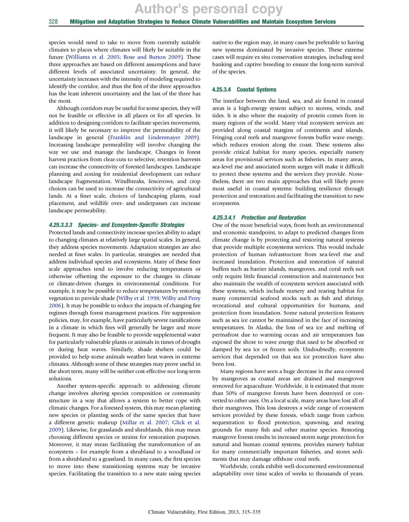species would need to take to move from currently suitable climates to places where climates will likely be suitable in the future (Williams et al. 2005; Rose and Burton 2009). These three approaches are based on different assumptions and have different levels of associated uncertainty. In general, the uncertainty increases with the intensity of modeling required to identify the corridor, and thus the first of the three approaches has the least inherent uncertainty and the last of the three has the most.

Although corridors may be useful for some species, they will not be feasible or effective in all places or for all species. In addition to designing corridors to facilitate species movements, it will likely be necessary to improve the permeability of the landscape in general (Franklin and Lindenmayer 2009). Increasing landscape permeability will involve changing the way we use and manage the landscape. Changes in forest harvest practices from clear-cuts to selective, retention harvests can increase the connectivity of forested landscapes. Landscape planning and zoning for residential development can reduce landscape fragmentation. Windbreaks, fencerows, and crop choices can be used to increase the connectivity of agricultural lands. At a finer scale, choices of landscaping plants, road placement, and wildlife over- and underpasses can increase landscape permeability.

#### 4.25.3.3.3 Species- and Ecosystem-Specific Strategies

Protected lands and connectivity increase species ability to adapt to changing climates at relatively large spatial scales. In general, they address species movements. Adaptation strategies are also needed at finer scales. In particular, strategies are needed that address individual species and ecosystems. Many of these finer scale approaches tend to involve reducing temperatures or otherwise offsetting the exposure to the changes in climate or climate-driven changes in environmental conditions. For example, it may be possible to reduce temperatures by restoring vegetation to provide shade (Wilby et al. 1998; Wilby and Perry 2006). It may be possible to reduce the impacts of changing fire regimes through forest management practices. Fire suppression policies, may, for example, have particularly severe ramifications in a climate in which fires will generally be larger and more frequent. It may also be feasible to provide supplemental water for particularly vulnerable plants or animals in times of drought or during heat waves. Similarly, shade shelters could be provided to help some animals weather heat waves in extreme climates. Although some of these strategies may prove useful in the short term, many will be neither cost-effective nor long-term solutions.

Another system-specific approach to addressing climate change involves altering species composition or community structure in a way that allows a system to better cope with climatic changes. For a forested system, this may mean planting new species or planting seeds of the same species that have a different genetic makeup (Millar et al. 2007; Glick et al. 2009). Likewise, for grasslands and shrublands, this may mean choosing different species or strains for restoration purposes. Moreover, it may mean facilitating the transformation of an ecosystem – for example from a shrubland to a woodland or from a shrubland to a grassland. In many cases, the first species to move into these transitioning systems may be invasive species. Facilitating the transition to a new state using species

native to the region may, in many cases be preferable to having new systems dominated by invasive species. These extreme cases will require ex situ conservation strategies, including seed banking and captive breeding to ensure the long-term survival of the species.

#### 4.25.3.4 Coastal Systems

The interface between the land, sea, and air found in coastal areas is a high-energy system subject to storms, winds, and tides. It is also where the majority of protein comes from in many regions of the world. Many vital ecosystem services are provided along coastal margins of continents and islands. Fringing coral reefs and mangrove forests buffer wave energy, which reduces erosion along the coast. These systems also provide critical habitat for many species, especially nursery areas for provisional services such as fisheries. In many areas, sea-level rise and associated storm surges will make it difficult to protect these systems and the services they provide. Nonetheless, there are two main approaches that will likely prove most useful in coastal systems: building resilience through protection and restoration and facilitating the transition to new ecosystems.

#### 4.25.3.4.1 Protection and Restoration

One of the more beneficial ways, from both an environmental and economic standpoint, to adapt to predicted changes from climate change is by protecting and restoring natural systems that provide multiple ecosystems services. This would include protection of human infrastructure from sea-level rise and increased inundation. Protection and restoration of natural buffers such as barrier islands, mangroves, and coral reefs not only require little financial construction and maintenance but also maintain the wealth of ecosystem services associated with these systems, which include nursery and rearing habitat for many commercial seafood stocks such as fish and shrimp, recreational and cultural opportunities for humans, and protection from inundation. Some natural protection features such as sea ice cannot be maintained in the face of increasing temperatures. In Alaska, the loss of sea ice and melting of permafrost due to warming ocean and air temperatures has exposed the shore to wave energy that used to be absorbed or damped by sea ice or frozen soils. Undoubtedly, ecosystem services that depended on that sea ice protection have also been lost.

Many regions have seen a huge decrease in the area covered by mangroves as coastal areas are drained and mangroves removed for aquaculture. Worldwide, it is estimated that more than 50% of mangrove forests have been destroyed or converted to other uses. On a local scale, many areas have lost all of their mangroves. This loss destroys a wide range of ecosystem services provided by these forests, which range from carbon sequestration to flood protection, spawning, and rearing grounds for many fish and other marine species. Restoring mangrove forests results in increased storm surge protection for natural and human coastal systems, provides nursery habitat for many commercially important fisheries, and stores sediments that may damage offshore coral reefs.

Worldwide, corals exhibit well-documented environmental adaptability over time scales of weeks to thousands of years.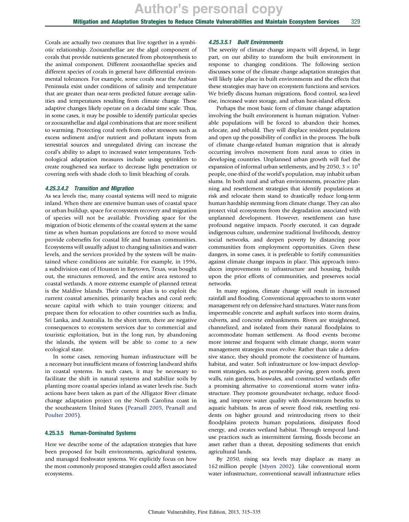Corals are actually two creatures that live together in a symbiotic relationship. Zooxanthellae are the algal component of corals that provide nutrients generated from photosynthesis to the animal component. Different zooxanthellae species and different species of corals in general have differential environmental tolerances. For example, some corals near the Arabian Peninsula exist under conditions of salinity and temperature that are greater than near-term predicted future average salinities and temperatures resulting from climate change. These adaptive changes likely operate on a decadal time scale. Thus, in some cases, it may be possible to identify particular species or zooxanthellae and algal combinations that are more resilient to warming. Protecting coral reefs from other stressors such as excess sediment and/or nutrient and pollutant inputs from terrestrial sources and unregulated diving can increase the coral's ability to adapt to increased water temperatures. Technological adaptation measures include using sprinklers to create roughened sea surface to decrease light penetration or covering reefs with shade cloth to limit bleaching of corals.

#### 4.25.3.4.2 Transition and Migration

As sea levels rise, many coastal systems will need to migrate inland. When there are extensive human uses of coastal space or urban buildup, space for ecosystem recovery and migration of species will not be available. Providing space for the migration of biotic elements of the coastal system at the same time as when human populations are forced to move would provide cobenefits for coastal life and human communities. Ecosystems will usually adjust to changing salinities and water levels, and the services provided by the system will be maintained where conditions are suitable. For example, in 1996, a subdivision east of Houston in Baytown, Texas, was bought out, the structures removed, and the entire area restored to coastal wetlands. A more extreme example of planned retreat is the Maldive Islands. Their current plan is to exploit the current coastal amenities, primarily beaches and coral reefs; secure capital with which to train younger citizens; and prepare them for relocation to other countries such as India, Sri Lanka, and Australia. In the short term, there are negative consequences to ecosystem services due to commercial and touristic exploitation, but in the long run, by abandoning the islands, the system will be able to come to a new ecological state.

In some cases, removing human infrastructure will be a necessary but insufficient means of fostering landward shifts in coastal systems. In such cases, it may be necessary to facilitate the shift in natural systems and stabilize soils by planting more coastal species inland as water levels rise. Such actions have been taken as part of the Alligator River climate change adaptation project on the North Carolina coast in the southeastern United States (Pearsall 2005, Pearsall and Poulter 2005).

#### 4.25.3.5 Human-Dominated Systems

Here we describe some of the adaptation strategies that have been proposed for built environments, agricultural systems, and managed freshwater systems. We explicitly focus on how the most commonly proposed strategies could affect associated ecosystems.

#### 4.25.3.5.1 Built Environments

The severity of climate change impacts will depend, in large part, on our ability to transform the built environment in response to changing conditions. The following section discusses some of the climate change adaptation strategies that will likely take place in built environments and the effects that these strategies may have on ecosystem functions and services. We briefly discuss human migrations, flood control, sea-level rise, increased water storage, and urban heat-island effects.

Perhaps the most basic form of climate change adaptation involving the built environment is human migration. Vulnerable populations will be forced to abandon their homes, relocate, and rebuild. They will displace resident populations and open up the possibility of conflict in the process. The bulk of climate change-related human migration that is already occurring involves movement from rural areas to cities in developing countries. Unplanned urban growth will fuel the expansion of informal urban settlements, and by 2050,  $3 \times 10^9$ people, one-third of the world's population, may inhabit urban slums. In both rural and urban environments, proactive planning and resettlement strategies that identify populations at risk and relocate them stand to drastically reduce long-term human hardship stemming from climate change. They can also protect vital ecosystems from the degradation associated with unplanned development. However, resettlement can have profound negative impacts. Poorly executed, it can degrade indigenous culture, undermine traditional livelihoods, destroy social networks, and deepen poverty by distancing poor communities from employment opportunities. Given these dangers, in some cases, it is preferable to fortify communities against climate change impacts in place. This approach introduces improvements to infrastructure and housing, builds upon the prior efforts of communities, and preserves social networks.

In many regions, climate change will result in increased rainfall and flooding. Conventional approaches to storm water management rely on defensive hard structures. Water runs from impermeable concrete and asphalt surfaces into storm drains, culverts, and concrete embankments. Rivers are straightened, channelized, and isolated from their natural floodplains to accommodate human settlement. As flood events become more intense and frequent with climate change, storm water management strategies must evolve. Rather than take a defensive stance, they should promote the coexistence of humans, habitat, and water. Soft infrastructure or low-impact development strategies, such as permeable paving, green roofs, green walls, rain gardens, bioswales, and constructed wetlands offer a promising alternative to conventional storm water infrastructure. They promote groundwater recharge, reduce flooding, and improve water quality with downstream benefits to aquatic habitats. In areas of severe flood risk, resettling residents on higher ground and reintroducing rivers to their floodplains protects human populations, dissipates flood energy, and creates wetland habitat. Through temporal landuse practices such as intermittent farming, floods become an asset rather than a threat, depositing sediments that enrich agricultural lands.

By 2050, rising sea levels may displace as many as 162 million people (Myers 2002). Like conventional storm water infrastructure, conventional seawall infrastructure relies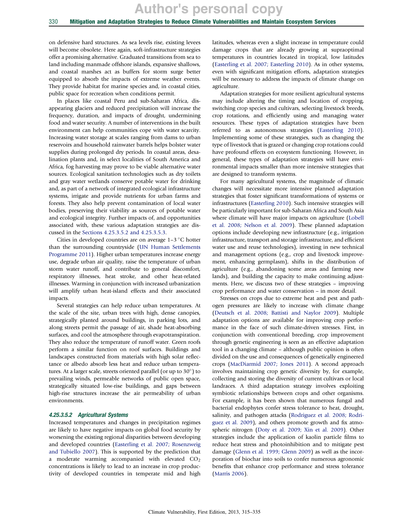on defensive hard structures. As sea levels rise, existing levees will become obsolete. Here again, soft-infrastructure strategies offer a promising alternative. Graduated transitions from sea to land including manmade offshore islands, expansive shallows, and coastal marshes act as buffers for storm surge better equipped to absorb the impacts of extreme weather events. They provide habitat for marine species and, in coastal cities, public space for recreation when conditions permit.

In places like coastal Peru and sub-Saharan Africa, disappearing glaciers and reduced precipitation will increase the frequency, duration, and impacts of drought, undermining food and water security. A number of interventions in the built environment can help communities cope with water scarcity. Increasing water storage at scales ranging from dams to urban reservoirs and household rainwater barrels helps bolster water supplies during prolonged dry periods. In coastal areas, desalination plants and, in select localities of South America and Africa, fog harvesting may prove to be viable alternative water sources. Ecological sanitation technologies such as dry toilets and gray water wetlands conserve potable water for drinking and, as part of a network of integrated ecological infrastructure systems, irrigate and provide nutrients for urban farms and forests. They also help prevent contamination of local water bodies, preserving their viability as sources of potable water and ecological integrity. Further impacts of, and opportunities associated with, these various adaptation strategies are discussed in the Sections 4.25.3.5.2 and 4.25.3.5.3.

Cities in developed countries are on average  $1-3$  °C hotter than the surrounding countryside (UN Human Settlements Programme 2011). Higher urban temperatures increase energy use, degrade urban air quality, raise the temperature of urban storm water runoff, and contribute to general discomfort, respiratory illnesses, heat stroke, and other heat-related illnesses. Warming in conjunction with increased urbanization will amplify urban heat-island effects and their associated impacts.

Several strategies can help reduce urban temperatures. At the scale of the site, urban trees with high, dense canopies, strategically planted around buildings, in parking lots, and along streets permit the passage of air, shade heat-absorbing surfaces, and cool the atmosphere through evapotranspiration. They also reduce the temperature of runoff water. Green roofs perform a similar function on roof surfaces. Buildings and landscapes constructed from materials with high solar reflectance or albedo absorb less heat and reduce urban temperatures. At a larger scale, streets oriented parallel (or up to 30°) to prevailing winds, permeable networks of public open space, strategically situated low-rise buildings, and gaps between high-rise structures increase the air permeability of urban environments.

#### 4.25.3.5.2 Agricultural Systems

Increased temperatures and changes in precipitation regimes are likely to have negative impacts on global food security by worsening the existing regional disparities between developing and developed countries (Easterling et al. 2007; Rosenzweig and Tubiello 2007). This is supported by the prediction that a moderate warming accompanied with elevated  $CO<sub>2</sub>$ concentrations is likely to lead to an increase in crop productivity of developed countries in temperate mid and high latitudes, whereas even a slight increase in temperature could damage crops that are already growing at supraoptimal temperatures in countries located in tropical, low latitudes (Easterling et al. 2007; Easterling 2010). As in other systems, even with significant mitigation efforts, adaptation strategies will be necessary to address the impacts of climate change on agriculture.

Adaptation strategies for more resilient agricultural systems may include altering the timing and location of cropping, switching crop species and cultivars, selecting livestock breeds, crop rotations, and efficiently using and managing water resources. These types of adaptation strategies have been referred to as autonomous strategies (Easterling 2010). Implementing some of these strategies, such as changing the type of livestock that is grazed or changing crop rotations could have profound effects on ecosystem functioning. However, in general, these types of adaptation strategies will have environmental impacts smaller than more intensive strategies that are designed to transform systems.

For many agricultural systems, the magnitude of climatic changes will necessitate more intensive planned adaptation strategies that foster significant transformations of systems or infrastructures (Easterling 2010). Such intensive strategies will be particularly important for sub-Saharan Africa and South Asia where climate will have major impacts on agriculture (Lobell et al. 2008; Nelson et al. 2009). These planned adaptation options include developing new infrastructure (e.g., irrigation infrastructure, transport and storage infrastructure, and efficient water use and reuse technologies), investing in new technical and management options (e.g., crop and livestock improvement, enhancing germplasm), shifts in the distribution of agriculture (e.g., abandoning some areas and farming new lands), and building the capacity to make continuing adjustments. Here, we discuss two of these strategies – improving crop performance and water conservation – in more detail.

Stresses on crops due to extreme heat and pest and pathogen pressures are likely to increase with climate change (Deutsch et al. 2008; Battisti and Naylor 2009). Multiple adaptation options are available for improving crop performance in the face of such climate-driven stresses. First, in conjunction with conventional breeding, crop improvement through genetic engineering is seen as an effective adaptation tool in a changing climate – although public opinion is often divided on the use and consequences of genetically engineered crops (MacDiarmid 2007; Jones 2011). A second approach involves maintaining crop genetic diversity by, for example, collecting and storing the diversity of current cultivars or local landraces. A third adaptation strategy involves exploiting symbiotic relationships between crops and other organisms. For example, it has been shown that numerous fungal and bacterial endophytes confer stress tolerance to heat, drought, salinity, and pathogen attacks (Rodriguez et al. 2008; Rodriguez et al. 2009), and others promote growth and fix atmospheric nitrogen (Doty et al. 2009; Xin et al. 2009). Other strategies include the application of kaolin particle films to reduce heat stress and photoinhibition and to mitigate pest damage (Glenn et al. 1999; Glenn 2009) as well as the incorporation of biochar into soils to confer numerous agronomic benefits that enhance crop performance and stress tolerance (Marris 2006).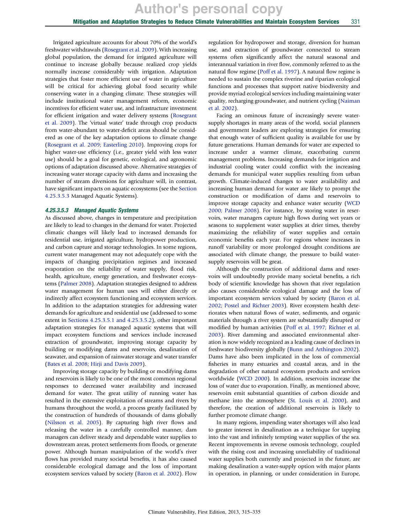Irrigated agriculture accounts for about 70% of the world's freshwater withdrawals (Rosegrant et al. 2009). With increasing global population, the demand for irrigated agriculture will continue to increase globally because realized crop yields normally increase considerably with irrigation. Adaptation strategies that foster more efficient use of water in agriculture will be critical for achieving global food security while conserving water in a changing climate. These strategies will include institutional water management reform, economic incentives for efficient water use, and infrastructure investment for efficient irrigation and water delivery systems (Rosegrant et al. 2009). The 'virtual water' trade through crop products from water-abundant to water-deficit areas should be considered as one of the key adaptation options to climate change (Rosegrant et al. 2009; Easterling 2010). Improving crops for higher water-use efficiency (i.e., greater yield with less water use) should be a goal for genetic, ecological, and agronomic options of adaptation discussed above. Alternative strategies of increasing water storage capacity with dams and increasing the number of stream diversions for agriculture will, in contrast, have significant impacts on aquatic ecosystems (see the Section 4.25.3.5.3 Managed Aquatic Systems).

## 4.25.3.5.3 Managed Aquatic Systems

As discussed above, changes in temperature and precipitation are likely to lead to changes in the demand for water. Projected climatic changes will likely lead to increased demands for residential use, irrigated agriculture, hydropower production, and carbon capture and storage technologies. In some regions, current water management may not adequately cope with the impacts of changing precipitation regimes and increased evaporation on the reliability of water supply, flood risk, health, agriculture, energy generation, and freshwater ecosystems (Palmer 2008). Adaptation strategies designed to address water management for human uses will either directly or indirectly affect ecosystem functioning and ecosystem services. In addition to the adaptation strategies for addressing water demands for agriculture and residential use (addressed to some extent in Sections 4.25.3.5.1 and 4.25.3.5.2), other important adaptation strategies for managed aquatic systems that will impact ecosystem functions and services include increased extraction of groundwater, improving storage capacity by building or modifying dams and reservoirs, desalination of seawater, and expansion of rainwater storage and water transfer (Bates et al. 2008; Hirji and Davis 2009).

Improving storage capacity by building or modifying dams and reservoirs is likely to be one of the most common regional responses to decreased water availability and increased demand for water. The great utility of running water has resulted in the extensive exploitation of streams and rivers by humans throughout the world, a process greatly facilitated by the construction of hundreds of thousands of dams globally (Nilsson et al. 2005). By capturing high river flows and releasing the water in a carefully controlled manner, dam managers can deliver steady and dependable water supplies to downstream areas, protect settlements from floods, or generate power. Although human manipulation of the world's river flows has provided many societal benefits, it has also caused considerable ecological damage and the loss of important ecosystem services valued by society (Baron et al. 2002). Flow

regulation for hydropower and storage, diversion for human use, and extraction of groundwater connected to stream systems often significantly affect the natural seasonal and interannual variation in river flow, commonly referred to as the natural flow regime (Poff et al. 1997). A natural flow regime is needed to sustain the complex riverine and riparian ecological functions and processes that support native biodiversity and provide myriad ecological services including maintaining water quality, recharging groundwater, and nutrient cycling (Naiman et al. 2002).

Facing an ominous future of increasingly severe watersupply shortages in many areas of the world, social planners and government leaders are exploring strategies for ensuring that enough water of sufficient quality is available for use by future generations. Human demands for water are expected to increase under a warmer climate, exacerbating current management problems. Increasing demands for irrigation and industrial cooling water could conflict with the increasing demands for municipal water supplies resulting from urban growth. Climate-induced changes to water availability and increasing human demand for water are likely to prompt the construction or modification of dams and reservoirs to improve storage capacity and enhance water security (WCD 2000; Palmer 2008). For instance, by storing water in reservoirs, water managers capture high flows during wet years or seasons to supplement water supplies at drier times, thereby maximizing the reliability of water supplies and certain economic benefits each year. For regions where increases in runoff variability or more prolonged drought conditions are associated with climate change, the pressure to build watersupply reservoirs will be great.

Although the construction of additional dams and reservoirs will undoubtedly provide many societal benefits, a rich body of scientific knowledge has shown that river regulation also causes considerable ecological damage and the loss of important ecosystem services valued by society (Baron et al. 2002; Postel and Richter 2003). River ecosystem health deteriorates when natural flows of water, sediments, and organic materials through a river system are substantially disrupted or modified by human activities (Poff et al. 1997; Richter et al. 2003). River damming and associated environmental alteration is now widely recognized as a leading cause of declines in freshwater biodiversity globally (Bunn and Arthington 2002). Dams have also been implicated in the loss of commercial fisheries in many estuaries and coastal areas, and in the degradation of other natural ecosystem products and services worldwide (WCD 2000). In addition, reservoirs increase the loss of water due to evaporation. Finally, as mentioned above, reservoirs emit substantial quantities of carbon dioxide and methane into the atmosphere (St. Louis et al. 2000), and therefore, the creation of additional reservoirs is likely to further promote climate change.

In many regions, impending water shortages will also lead to greater interest in desalination as a technique for tapping into the vast and infinitely tempting water supplies of the sea. Recent improvements in reverse osmosis technology, coupled with the rising cost and increasing unreliability of traditional water supplies both currently and projected in the future, are making desalination a water-supply option with major plants in operation, in planning, or under consideration in Europe,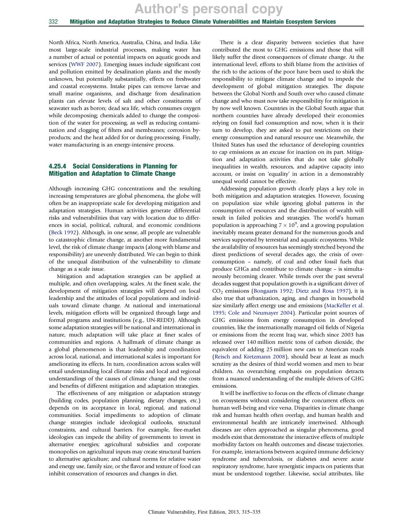North Africa, North America, Australia, China, and India. Like most large-scale industrial processes, making water has a number of actual or potential impacts on aquatic goods and services (WWF 2007). Emerging issues include significant cost and pollution emitted by desalination plants and the mostly unknown, but potentially substantially, effects on freshwater and coastal ecosystems. Intake pipes can remove larvae and small marine organisms, and discharge from desalination plants can elevate levels of salt and other constituents of seawater such as boron; dead sea life, which consumes oxygen while decomposing; chemicals added to change the composition of the water for processing, as well as reducing contamination and clogging of filters and membranes; corrosion byproducts; and the heat added for or during processing. Finally, water manufacturing is an energy-intensive process.

## 4.25.4 Social Considerations in Planning for Mitigation and Adaptation to Climate Change

Although increasing GHG concentrations and the resulting increasing temperatures are global phenomena, the globe will often be an inappropriate scale for developing mitigation and adaptation strategies. Human activities generate differential risks and vulnerabilities that vary with location due to differences in social, political, cultural, and economic conditions (Beck 1992). Although, in one sense, all people are vulnerable to catastrophic climate change, at another more fundamental level, the risk of climate change impacts (along with blame and responsibility) are unevenly distributed. We can begin to think of the unequal distribution of the vulnerability to climate change as a scale issue.

Mitigation and adaptation strategies can be applied at multiple, and often overlapping, scales. At the finest scale, the development of mitigation strategies will depend on local leadership and the attitudes of local populations and individuals toward climate change. At national and international levels, mitigation efforts will be organized through large and formal programs and institutions (e.g., UN-REDD). Although some adaptation strategies will be national and international in nature, much adaptation will take place at finer scales of communities and regions. A hallmark of climate change as a global phenomenon is that leadership and coordination across local, national, and international scales is important for ameliorating its effects. In turn, coordination across scales will entail understanding local climate risks and local and regional understandings of the causes of climate change and the costs and benefits of different mitigation and adaptation strategies.

The effectiveness of any mitigation or adaptation strategy (building codes, population planning, dietary changes, etc.) depends on its acceptance in local, regional, and national communities. Social impediments to adoption of climate change strategies include ideological outlooks, structural constraints, and cultural barriers. For example, free-market ideologies can impede the ability of governments to invest in alternative energies; agricultural subsidies and corporate monopolies on agricultural inputs may create structural barriers to alternative agriculture; and cultural norms for relative water and energy use, family size, or the flavor and texture of food can inhibit conservation of resources and changes in diet.

There is a clear disparity between societies that have contributed the most to GHG emissions and those that will likely suffer the direst consequences of climate change. At the international level, efforts to shift blame from the activities of the rich to the actions of the poor have been used to shirk the responsibility to mitigate climate change and to impede the development of global mitigation strategies. The dispute between the Global North and South over who caused climate change and who must now take responsibility for mitigation is by now well known. Countries in the Global South argue that northern countries have already developed their economies relying on fossil fuel consumption and now, when it is their turn to develop, they are asked to put restrictions on their energy consumption and natural resource use. Meanwhile, the United States has used the reluctance of developing countries to cap emissions as an excuse for inaction on its part. Mitigation and adaptation activities that do not take globally inequalities in wealth, resources, and adaptive capacity into account, or insist on 'equality' in action in a demonstrably unequal world cannot be effective.

Addressing population growth clearly plays a key role in both mitigation and adaptation strategies. However, focusing on population size while ignoring global patterns in the consumption of resources and the distribution of wealth will result in failed policies and strategies. The world's human population is approaching  $7 \times 10^9$ , and a growing population inevitably means greater demand for the numerous goods and services supported by terrestrial and aquatic ecosystems. While the availability of resources has seemingly stretched beyond the direst predictions of several decades ago, the crisis of overconsumption – namely, of coal and other fossil fuels that produce GHGs and contribute to climate change – is simultaneously becoming clearer. While trends over the past several decades suggest that population growth is a significant driver of CO2 emissions (Bongaarts 1992; Dietz and Rosa 1997), it is also true that urbanization, aging, and changes in household size similarly affect energy use and emissions (MacKeller et al. 1995; Cole and Neumayer 2004). Particular point sources of GHG emissions from energy consumption in developed countries, like the internationally managed oil fields of Nigeria or emissions from the recent Iraq war, which since 2003 has released over 140 million metric tons of carbon dioxide, the equivalent of adding 25 million new cars to American roads (Reisch and Kretzmann 2008), should bear at least as much scrutiny as the desires of third world women and men to bear children. An overarching emphasis on population detracts from a nuanced understanding of the multiple drivers of GHG emissions.

It will be ineffective to focus on the effects of climate change on ecosystems without considering the concurrent effects on human well-being and vice versa. Disparities in climate change risk and human health often overlap, and human health and environmental health are intricately intertwined. Although diseases are often approached as singular phenomena, good models exist that demonstrate the interactive effects of multiple morbidity factors on health outcomes and disease trajectories. For example, interactions between acquired immune deficiency syndrome and tuberculosis, or diabetes and severe acute respiratory syndrome, have synergistic impacts on patients that must be understood together. Likewise, social attributes, like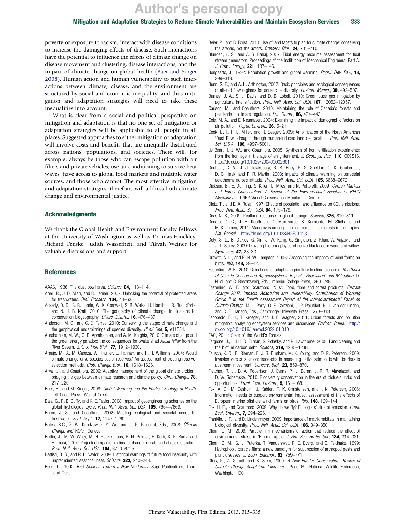poverty or exposure to racism, interact with disease conditions to increase the damaging effects of disease. Such interactions have the potential to influence the effects of climate change on disease movement and clustering, disease interactions, and the impact of climate change on global health (Baer and Singer 2008). Human action and human vulnerability to such interactions between climate, disease, and the environment are structured by social and economic inequality, and thus mitigation and adaptation strategies will need to take these inequalities into account.

What is clear from a social and political perspective on mitigation and adaptation is that no one set of mitigation or adaptation strategies will be applicable to all people in all places. Suggested approaches to either mitigation or adaptation will involve costs and benefits that are unequally distributed across nations, populations, and societies. There will, for example, always be those who can escape pollution with air filters and private vehicles, use air conditioning to survive heat waves, have access to global food markets and multiple water sources, and those who cannot. The most effective mitigation and adaptation strategies, therefore, will address both climate change and environmental justice.

#### Acknowledgments

We thank the Global Health and Environment Faculty Fellows at the University of Washington as well as Thomas Hinckley, Richard Fenske, Judith Wasserheit, and Tikvah Weiner for valuable discussions and support.

#### **References**

- AAAS, 1936: The dust bowl area. Science, 84, 113-114.
- Abell, R., J. D. Allan, and B. Lehner, 2007: Unlocking the potential of protected areas for freshwaters. Biol. Conserv., 134, 48-63.
- Ackerly, D. D., S. R. Loarie, W. K. Cornwell, S. B. Weiss, H. Hamilton, R. Branciforte, and N. J. B. Kraft, 2010: The geography of climate change: implications for conservation biogeography. Divers. Distrib., 16, 476-487.
- Anderson, M. G., and C. E. Ferree, 2010: Conserving the stage: climate change and the geophysical underpinnings of species diversity. PLoS One, 5, e11554.
- Aprahamian, M. W., C. D. Aprahamian, and A. M. Knights, 2010: Climate change and the green energy paradox: the consequences for twaite shad Alosa fallax from the River Severn, U.K. J. Fish Biol., 77, 1912-1930.
- Araújo, M. B., M. Cabeza, W. Thuiller, L. Hannah, and P. H. Williams, 2004: Would climate change drive species out of reserves? An assessment of existing reserveselection methods. Glob. Change Biol., 10, 1618-1626.
- Arvai, J., and Coauthors, 2006: Adaptive management of the global climate problem: bridging the gap between climate research and climate policy. Clim. Change, 78, 217–225.
- Baer, H., and M. Singer, 2008: Global Warming and the Political Ecology of Health. Left Coast Press, Walnut Creek.
- Bala, G., P. B. Duffy, and K. E. Taylor, 2008: Impact of geoengineering schemes on the global hydrological cycle. Proc. Natl. Acad. Sci. USA, 105, 7664-7669.
- Baron, J. S., and Coauthors, 2002: Meeting ecological and societal needs for freshwater. Ecol. Appl., 12, 1247-1260.
- Bates, B.C., Z. W. Kundzewicz, S. Wu, and J. P. Palutikof, Eds., 2008: Climate Change and Water. Geneva.
- Battin, J., M. W. Wiley, M. H. Ruckelshaus, R. N. Palmer, E. Korb, K. K. Bartz, and H. Imaki, 2007: Projected impacts of climate change on salmon habitat restoration. Proc. Natl. Acad. Sci. USA, 104, 6720-6725.
- Battisti, D. S., and R. L. Naylor, 2009: Historical warnings of future food insecurity with unprecedented seasonal heat. Science, 323, 240-244.
- Beck, U., 1992: Risk Society: Toward a New Modernity. Sage Publications, Thousand Oaks
- Beier, P., and B. Brost, 2010: Use of land facets to plan for climate change: conserving the arenas, not the actors. Conserv. Biol., 24, 701-710.
- Blunden, L. S., and A. S. Bahaj, 2007: Tidal energy resource assessment for tidal stream generators. Proceedings of the Institution of Mechanical Engineers, Part A. J. Power Energy, 221, 137–146.
- Bongaarts, J., 1992: Population growth and global warming. Popul. Dev. Rev., 18, 299–319.
- Bunn, S. E., and A. H. Arthington, 2002: Basic principles and ecological consequences of altered flow regimes for aquatic biodiversity. Environ. Manag., 30, 492-507.
- Burney, J. A., S. J. Davis, and D. B. Lobell, 2010: Greenhouse gas mitigation by agricultural intensification. Proc. Natl. Acad. Sci. USA, 107, 12052-12057.
- Carlson, M., and Coauthors, 2010: Maintaining the role of Canada's forests and peatlands in climate regulation. For. Chron., 86, 434-443.
- Cole, M. A., and E. Neumayer, 2004: Examining the impact of demographic factors on air pollution. Popul. Environ., 26, 5-21.
- Cook, B. I., R. L. Miller, and R. Seager, 2009: Amplification of the North American 'Dust Bowl' drought through human-induced land degradation. Proc. Natl. Acad. Sci. U.S.A., **106,** 4997-5001.
- de Baar, H. J. W., and Coauthors, 2005: Synthesis of iron fertilization experiments: from the iron age in the age of enlightenment. J. Geophys. Res., 110, C09S16, <http://dx.doi.org/10.1029/2004JC002601>
- Deutsch, C. A., J. J. Tewksbury, R. B. Huey, K. S. Sheldon, C. K. Ghalambor, D. C. Haak, and P. R. Martin, 2008: Impacts of climate warming on terrestrial ectotherms across latitude. Proc. Natl. Acad. Sci. USA, 105, 6668-6672.
- Dickson, B., E. Dunning, S. Killen, L. Miles, and N. Pettorelli, 2009: Carbon Markets and Forest Conservation: A Review of the Environmental Benefits of REDD Mechanisms. UNEP World Conservation Monitoring Centre.
- Dietz, T., and E. A. Rosa, 1997: Effects of population and affluence on  $CO<sub>2</sub>$  emissions. Proc. Natl. Acad. Sci. USA, 94, 175-179.
- Dise, N. B., 2009: Peatland response to global change. Science, 326, 810-811.
- Donato, D. C., J. B. Kauffman, D. Murdiyarso, S. Kurnianto, M. Stidham, and M. Kanninen, 2011: Mangroves among the most carbon-rich forests in the tropics. Nat. Geosci., <http://dx.doi.org/10.1038/NGEO1123>
- Doty, S. L., B. Oakley, G. Xin, J. W. Kang, G. Singleton, Z. Khan, A. Vajzovic, and J. T. Staley, 2009: Diazotrophic endophytes of native black cottonwood and willow. Symbiosis, 47, 23–33.
- Drewitt, A. L., and R. H. W. Langston, 2006: Assessing the impacts of wind farms on birds. *Ibis*, **148,** 29-42.
- Easterling, W. E., 2010: Guidelines for adapting agriculture to climate change. Handbook of Climate Change and Agroecosystems: Impacts, Adaptation, and Mitigation. D. Hillel, and C. Rosenzweig, Eds., Imperial College Press, 269–286.
- Easterling, W. E., and Coauthors, 2007: Food, fibre and forest products. Climate Change 2007: Impacts, Adaptation and Vulnerability. Contribution of Working Group II to the Fourth Assessment Report of the Intergovernmental Panel on Climate Change. M. L. Parry, O. F. Canziani, J. P. Palutikof, P. J. van der Linden, and C. E. Hanson, Eds., Cambridge University Press, 273–313.
- Escobedo, F. J., T. Kroeger, and J. E. Wagner, 2011: Urban forests and pollution mitigation: analyzing ecosystem services and disservices. Environ. Pollut., [http://](http://dx.doi.org/10.1016/j.envpol.2022.01.010) [dx.doi.org/10.1016/j.envpol.2022.01.010](http://dx.doi.org/10.1016/j.envpol.2022.01.010)
- FAO, 2011: State of the World's Forests.
- Fargione, J., J. Hill, D. Tilman, S. Polasky, and P. Hawthorne, 2008: Land clearing and the biofuel carbon debt. Science, 319, 1235-1238.
- Fausch, K. D., B. Rieman, E. J. B. Dunham, M. K. Young, and D. P. Peterson, 2009: Invasion versus isolation: trade-offs in managing native salmonids with barriers to upstream movement. Conserv. Biol., 23, 859-870.
- Fletcher, R. J., B. A. Robertson, J. Evans, P. J. Doran, J. R. R. Alavalapati, and D. W. Schemske, 2010: Biodiversity conservation in the era of biofuels: risks and opportunities. Front. Ecol. Environ., 9, 161-168.
- Fox, A. D., M. Desholm, J. Kahlert, T. K. Christensen, and I. K. Petersen, 2006: Information needs to support environmental impact assessment of the effects of European marine offshore wind farms on birds. *Ibis*, **148,** 129-144.
- Fox, H. E., and Coauthors, 2009: Why do we fly? Ecologists' sins of emission. Front. Ecol. Environ., **7,** 294–296.
- Franklin, J. F., and D. Lindenmayer, 2009: Importance of matrix habitats in maintaining biological diversity. Proc. Natl. Acad. Sci. USA, 106, 349-350.
- Glenn, D. M., 2009: Particle film mechanisms of action that reduce the effect of environmental stress in 'Empire' apple. J. Am. Soc. Hortic. Sci., 134, 314-321.
- Glenn, D. M., G. J. Puterka, T. Vanderzwet, R. E. Byers, and C. Feldhake, 1999: Hydrophobic particle films: a new paradigm for suppression of arthropod pests and plant diseases. J. Econ. Entomol., 92, 759-771.
- Glick, P., A. Staudt, and B. Stein, 2009: A New Era for Conservation: Review of Climate Change Adaptation Literature. Page 69. National Wildlife Federation, Washington, DC.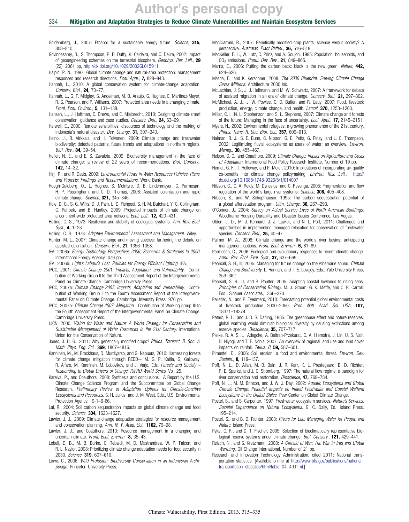- Goldemberg, J., 2007: Ethanol for a sustainable energy future. Science, 315, 808–810.
- Govindasamy, B., S. Thompson, P. B. Duffy, K. Caldeira, and C. Delire, 2002: Impact of geoengineering schemes on the terrestrial biosphere. Geophys. Res. Lett., 29 (22), 2061 pp, <http://dx.doi.org/10.1029/2002GL015911>.
- Halpin, P. N., 1997: Global climate change and natural-area protection: management responses and research directions. Ecol. Appl., 7, 828–843.
- Hannah, L., 2010: A global conservation system for climate-change adaptation. Conserv. Biol., 24, 70–77.
- Hannah, L., G. F. Midgley, S. Andelman, M. B. Araujo, G. Hughes, E. Martinez-Meyer, R. G. Pearson, and P. Williams, 2007: Protected area needs in a changing climate. Front. Ecol. Environ., 5, 131–138.
- Hansen, L., J. Hoffman, C. Drews, and E. Mielbrecht, 2010: Designing climate-smart conservation: guidance and case studies. Conserv. Biol., 24, 63–69.
- Harwell, E., 2000: Remote sensibilities: discourses of technology and the making of Indonesia's natural disaster. Dev. Change, 31, 307-340.
- Heino, J., R. Virkkala, and H. Toivonen, 2009: Climate change and freshwater biodiversity: detected patterns, future trends and adaptations in northern regions. Biol. Rev., **84,** 39–54.
- Heller, N. E., and E. S. Zavaleta, 2009: Biodiversity management in the face of climate change: a review of 22 years of recommendations. Biol. Conserv., 142, 14–32.
- Hirji, R., and R. Davis, 2009: Environmental Flows in Water Resources Policies, Plans, and Projects: Findings and Recommendations. World Bank.
- Hoegh-Guldberg, O., L. Hughes, S. McIntyre, D. B. Lindenmayer, C. Parmesan, H. P. Possingham, and C. D. Thomas, 2008: Assisted colonization and rapid climate change. Science, 321, 345-346.
- Hole, D. G., S. G. Willis, D. J. Pain, L. D. Fishpool, S. H. M. Butchart, Y. C. Collingham, C. Rahbek, and B. Huntley, 2009: Projected impacts of climate change on a continent-wide protected area network. Ecol. Lett., 12, 420-431.
- Holling, C. S., 1973: Resilience and stability of ecological systems. Ann. Rev. Ecol. Syst., 4, 1–23.
- Holling, C. S., 1978: Adaptive Environmental Assessment and Management. Wiley.
- Hunter, M. L., 2007: Climate change and moving species: furthering the debate on assisted colonization. Conserv. Biol., 21, 1356-1358.
- IEA, 2006a: Energy Technology Perspectives 2006; Scenarios & Strategies to 2050. International Energy Agency. 479 pp.
- IEA, 2006b: Light's Labour's Lost. Policies for Energy Efficient Lighting. IEA.
- IPCC, 2001: Climate Change 2001: Impacts, Adaptation, and Vulnerability. Contribution of Working Group II to the Third Assessment Report of the Intergovernmental Panel on Climate Change. Cambridge University Press.
- IPCC, 2007a: Climate Change 2007: Impacts, Adaptation and Vulnerability. Contribution of Working Group II to the Fourth Assessment Report of the Intergovernmental Panel on Climate Change. Cambridge University Press. 976 pp.
- IPCC, 2007b: Climate Change 2007: Mitigation. Contribution of Working group III to the Fourth Assessment Report of the Intergovernmental Panel on Climate Change. Cambridge University Press.
- IUCN, 2000: Vision for Water and Nature: A World Strategy for Conservation and Sustainable Management of Water Resources in the 21st Century. International Union for the Conservation of Nature.
- Jones, J. D. G., 2011: Why genetically modified crops? Philos. Transact. R. Soc. A. Math. Phys. Eng. Sci., 369, 1807-1816.
- Kanninen, M., M. Brockhaus, D. Murdiyarso, and G. Nabuurs, 2010: Harnessing forests for climate change mitigation through  $REDD+$  M. G. P. Katila, G. Galloway, R. Alfaro, M. Kanninen, M. Lobovikov, and J. Varjo, Eds. Forests and Society -Responding to Global Drivers of Change. IUFRO World Series, Vol. 25.
- Kareiva, P., and Coauthors, 2008: Synthesis and conclusions. A Report by the U.S. Climate Change Science Program and the Subcommittee on Global Change Research. Preliminary Review of Adaptation Options for Climate-Sensitive Ecosystems and Resources. S. H. Julius, and J. M. West, Eds., U.S. Environmental Protection Agency, 9-1–9-66.
- Lal, R., 2004: Soil carbon sequestration impacts on global climate change and food security. Science, 304, 1623-1627.
- Lawler, J. J., 2009: Climate change adaptation strategies for resource management and conservation planning. Ann. N. Y. Acad. Sci., 1162, 79–98.
- Lawler, J. J., and Coauthors, 2010: Resource management in a changing and uncertain climate. Front. Ecol. Environ., 8, 35-43.
- Lobell, D. B., M. B. Burke, C. Tebaldi, M. D. Mastrandrea, W. P. Falcon, and R. L. Naylor, 2008: Prioritizing climate change adaptation needs for food security in 2030. Science, 319, 607-610.
- Lowe, C., 2006: Wild Profusion: Biodiversity Conservation in an Indonesian Archipelago. Princeton University Press.
- MacDiarmid, R., 2007: Genetically modified crop plants: science versus society? A perspective. Australas. Plant Pathol., 36, 516-519.
- MacKeller, F. L., W. Lutz, C. Prinz, and A. Goujon, 1995: Population, households, and CO<sub>2</sub> emissions. Popul. Dev. Rev., 21, 849-865.
- Marris, E., 2006: Putting the carbon back: black is the new green. Nature, 442, 624–626.
- Mazria, E., and K. Kerschner, 2008: The 2030 Blueprint, Solving Climate Change Saves Millions. Architecture 2030 Inc.
- McLachlan, J. S., J. J. Hellmann, and M. W. Schwartz, 2007: A framework for debate of assisted migration in an era of climate change. Conserv. Biol., 21, 297-302.
- McMichael, A. J., J. W. Powles, C. D. Butler, and R. Uauy, 2007: Food, livestock production, energy, climate change, and health. *Lancet*, **370,** 1253-1263.
- Millar, C. I., N. L. Stephenson, and S. L. Stephens, 2007: Climate change and forests of the future: Managing in the face of uncertainty. Ecol. Appl., 17, 2145-2151.
- Myers, N., 2002: Environmental refugees, a growing phenomenon of the 21st century. Philos. Trans. R. Soc. Biol. Sci., 357, 609-613.
- Naiman, R. J., S. E. Bunn, C. Nilsson, G. E. Petts, G. Pinay, and L. C. Thompson, 2002: Legitimizing fluvial ecosystems as users of water: an overview. Environ. Manag., 30, 455-467.
- Nelson, G. C., and Coauthors, 2009: Climate Change: Impact on Agriculture and Costs of Adaptation. International Food Policy Research Institute. Number of 19 pp.
- Nemet, G. F., T. Holloway, and P. Meier, 2010: Implications of incorporating air-quality co-benefits into climate change policymaking. Environ. Res. Lett., [http://](http://dx.doi.org/10.1088/1748-9326/5/1/014007) [dx.doi.org/10.1088/1748-9326/5/1/014007](http://dx.doi.org/10.1088/1748-9326/5/1/014007)
- Nilsson, C., C. A. Reidy, M. Dynesius, and C. Revenga, 2005: Fragmentation and flow regulation of the world's large river systems. Science, 308, 405-408.
- Nilsson, S., and W. Schopfhauser, 1995: The carbon sequestration potential of a global afforestation program. Clim. Change, 30, 267–293.
- O'Connor, J., 2004: Survey on Actual Service Lives of North American Buildings. Woodframe Housing Durability and Disaster Issues Conference, Las Vegas.
- Olden, J. D., M. J. Kennard, J. J. Lawler, and N. L. Poff, 2011: Challenges and opportunities in implementing managed relocation for conservation of freshwater species. Conserv. Biol., 25, 40–47.
- Palmer, M. A., 2008: Climate change and the world's river basins: anticipating management options. Front. Ecol. Environ., 6, 81-89.
- Parmesan, C., 2006: Ecological and evolutionary responses to recent climate change. Annu. Rev. Ecol. Evol. Syst. **37,** 637–669.
- Pearsall, S. H., III, 2005: Managing for future change on the Albemarle sound. Climate Change and Biodiversity. L. Hannah, and T. E. Lovejoy, Eds., Yale University Press, 359–362.
- Pearsall, S. H., III, and B. Poulter, 2005: Adapting coastal lowlands to rising seas. Principles of Conservation Biology. M. J. Groom, G. K. Meffe, and C. R. Carroll, Eds., Sinauer Associates, 366–370.
- Pelletier, N., and P. Tyedmers, 2010: Forecasting potential global environmental costs of livestock production 2000–2050. Proc. Natl. Acad. Sci. USA, 107, 18371–18374.
- Peters, R. L., and J. D. S. Darling, 1985: The greenhouse effect and nature reserves: global warming would diminish biological diversity by causing extinctions among reserve species. Bioscience, 35, 707-717.
- Pielke, R. A. S., J. Adegoke, A. Beltran-Przekurat, C. A. Hiemstra, J. Lin, U. S. Nair, D. Niyogi, and T. E. Nobis, 2007: An overview of regional land use and land cover impacts on rainfall. Tellus. B,  $59, 587-601$ .
- Pimentel, D., 2006: Soil erosion: a food and environmental threat. Environ. Dev. Sustain., **8.** 119–137.
- Poff, N. L., D. Allan, M. B. Bain, J. R. Karr, K. L. Prestegaard, B. D. Richter, R. E. Sparks, and J. C. Stromberg, 1997: The natural flow regime: a paradigm for river conservation and restoration. Bioscience, 47, 769-784.
- Poff, N. L., M. M. Brinson, and J. W. J. Day, 2002: Aquatic Ecosystems and Global Climate Change: Potential Impacts on Inland Freshwater and Coastal Wetland Ecosystems in the United States. Pew Center on Global Climate Change.
- Postel, S., and S. Carpenter, 1997: Freshwater ecosystem services. Nature's Services: Societal Dependence on Natural Ecosystems. G. C. Daily, Ed., Island Press, 195–214.
- Postel, S., and B. D. Richter, 2003: Rivers for Life: Managing Water for People and Nature. Island Press.
- Pyke, C. R., and D. T. Fischer, 2005: Selection of bioclimatically representative biological reserve systems under climate change. Biol. Conserv., 121, 429-441.
- Reisch, N., and S. Kretzmann, 2008: A Climate of War: The War in Iraq and Global Warming. Oil Change International. Number of 21 pp.
- Research and Innovation Technology Administration, cited 2011: National transportation statistics. [Available online at [http://www.bts.gov/publications/national\\_](http://www.bts.gov/publications/national_transportation_statistics/html/table_04_49.html) [transportation\\_statistics/html/table\\_04\\_49.html](http://www.bts.gov/publications/national_transportation_statistics/html/table_04_49.html).]